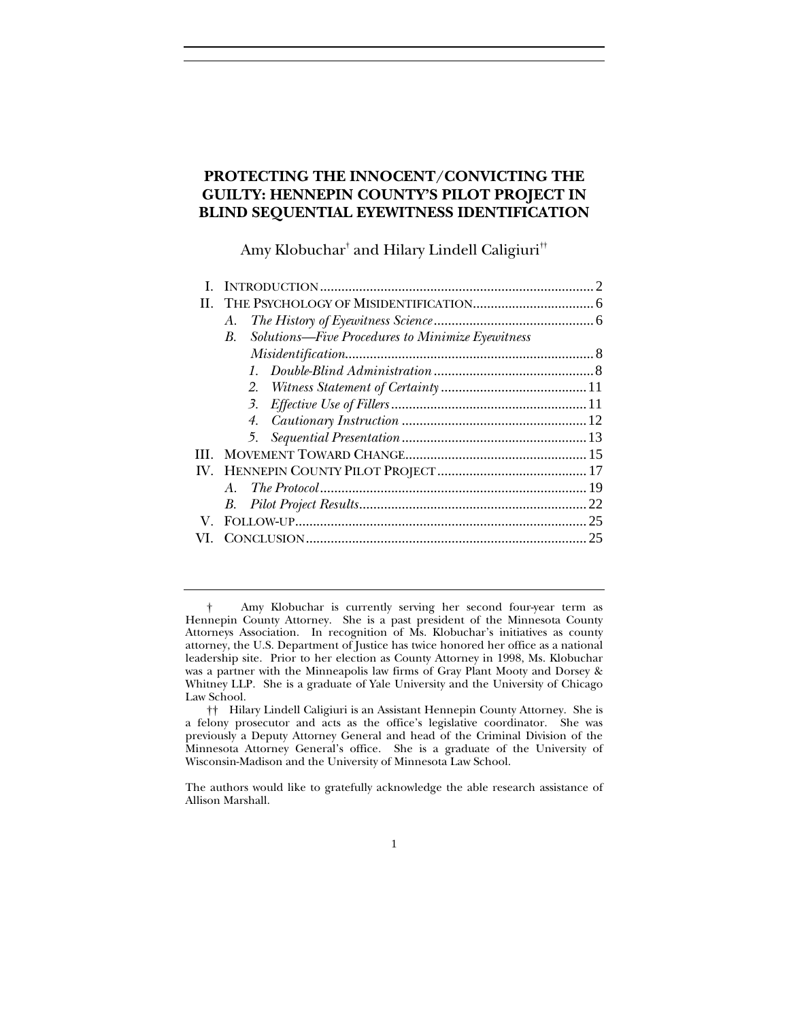# **PROTECTING THE INNOCENT/CONVICTING THE GUILTY: HENNEPIN COUNTY'S PILOT PROJECT IN BLIND SEQUENTIAL EYEWITNESS IDENTIFICATION**

Amy Klobuchar $^\dagger$  and Hilary Lindell Caligiuri $^{\dagger\dagger}$ 

| H. |                                                                |  |
|----|----------------------------------------------------------------|--|
|    | А.                                                             |  |
|    | Solutions-Five Procedures to Minimize Eyewitness<br><i>B</i> . |  |
|    |                                                                |  |
|    |                                                                |  |
|    |                                                                |  |
|    |                                                                |  |
|    |                                                                |  |
|    |                                                                |  |
| HН |                                                                |  |
|    |                                                                |  |
|    | $A_{-}$                                                        |  |
|    |                                                                |  |
|    |                                                                |  |
|    |                                                                |  |
|    |                                                                |  |

 <sup>†</sup> Amy Klobuchar is currently serving her second four-year term as Hennepin County Attorney. She is a past president of the Minnesota County Attorneys Association. In recognition of Ms. Klobuchar's initiatives as county attorney, the U.S. Department of Justice has twice honored her office as a national leadership site. Prior to her election as County Attorney in 1998, Ms. Klobuchar was a partner with the Minneapolis law firms of Gray Plant Mooty and Dorsey & Whitney LLP. She is a graduate of Yale University and the University of Chicago Law School.

 <sup>††</sup> Hilary Lindell Caligiuri is an Assistant Hennepin County Attorney. She is a felony prosecutor and acts as the office's legislative coordinator. She was previously a Deputy Attorney General and head of the Criminal Division of the Minnesota Attorney General's office. She is a graduate of the University of Wisconsin-Madison and the University of Minnesota Law School.

The authors would like to gratefully acknowledge the able research assistance of Allison Marshall.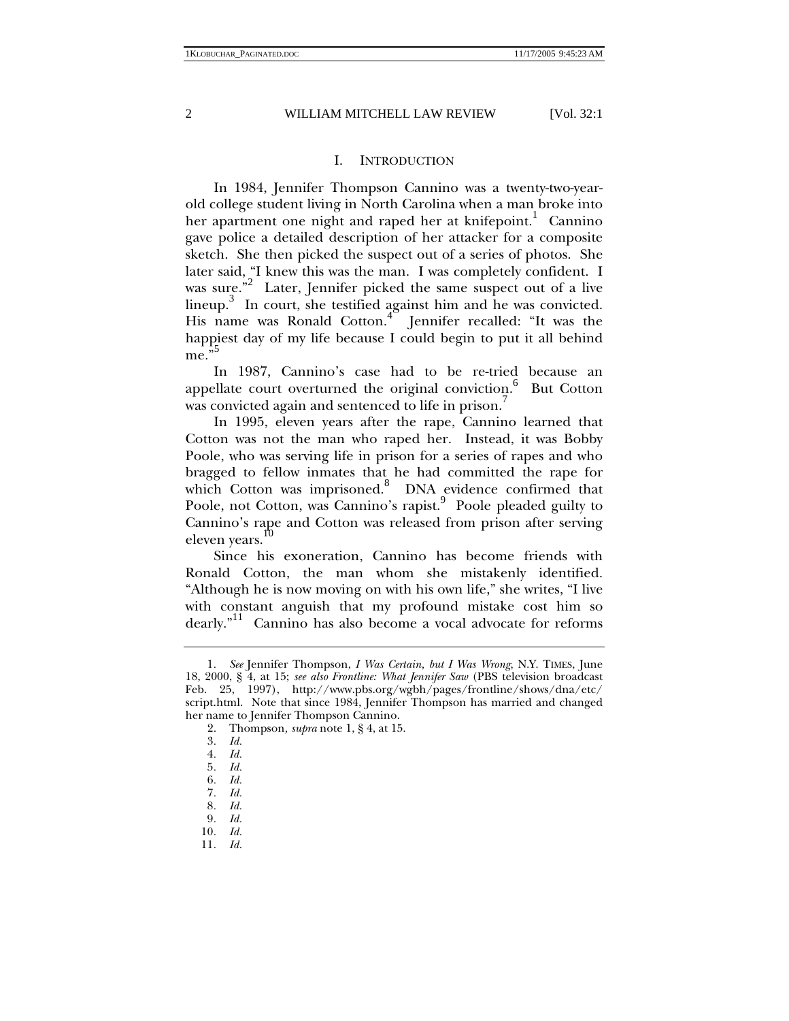## I. INTRODUCTION

In 1984, Jennifer Thompson Cannino was a twenty-two-yearold college student living in North Carolina when a man broke into her apartment one night and raped her at knifepoint.<sup>1</sup> Cannino gave police a detailed description of her attacker for a composite sketch. She then picked the suspect out of a series of photos. She later said, "I knew this was the man. I was completely confident. I was sure."<sup>2</sup> Later, Jennifer picked the same suspect out of a live lineup.<sup>3</sup> In court, she testified against him and he was convicted. His name was Ronald Cotton.<sup>4</sup> Jennifer recalled: "It was the happiest day of my life because I could begin to put it all behind me."

In 1987, Cannino's case had to be re-tried because an appellate court overturned the original conviction.<sup>6</sup> But Cotton was convicted again and sentenced to life in prison.<sup>7</sup>

In 1995, eleven years after the rape, Cannino learned that Cotton was not the man who raped her. Instead, it was Bobby Poole, who was serving life in prison for a series of rapes and who bragged to fellow inmates that he had committed the rape for which Cotton was imprisoned.<sup>8</sup> DNA evidence confirmed that Poole, not Cotton, was Cannino's rapist.<sup>9</sup> Poole pleaded guilty to Cannino's rape and Cotton was released from prison after serving eleven years.

Since his exoneration, Cannino has become friends with Ronald Cotton, the man whom she mistakenly identified. "Although he is now moving on with his own life," she writes, "I live with constant anguish that my profound mistake cost him so dearly."<sup>11</sup> Cannino has also become a vocal advocate for reforms

<sup>1</sup>*. See* Jennifer Thompson, *I Was Certain, but I Was Wrong*, N.Y. TIMES, June 18, 2000, § 4, at 15; *see also Frontline: What Jennifer Saw* (PBS television broadcast Feb. 25, 1997), http://www.pbs.org/wgbh/pages/frontline/shows/dna/etc/ script.html. Note that since 1984, Jennifer Thompson has married and changed her name to Jennifer Thompson Cannino.

 <sup>2.</sup> Thompson*, supra* note 1, § 4, at 15.

<sup>3</sup>*. Id.*

<sup>4</sup>*. Id.*

<sup>5</sup>*. Id.*

<sup>6</sup>*. Id.*

<sup>7</sup>*. Id.*

<sup>8</sup>*. Id.*

<sup>9</sup>*. Id.*

<sup>10</sup>*. Id.*

<sup>11</sup>*. Id.*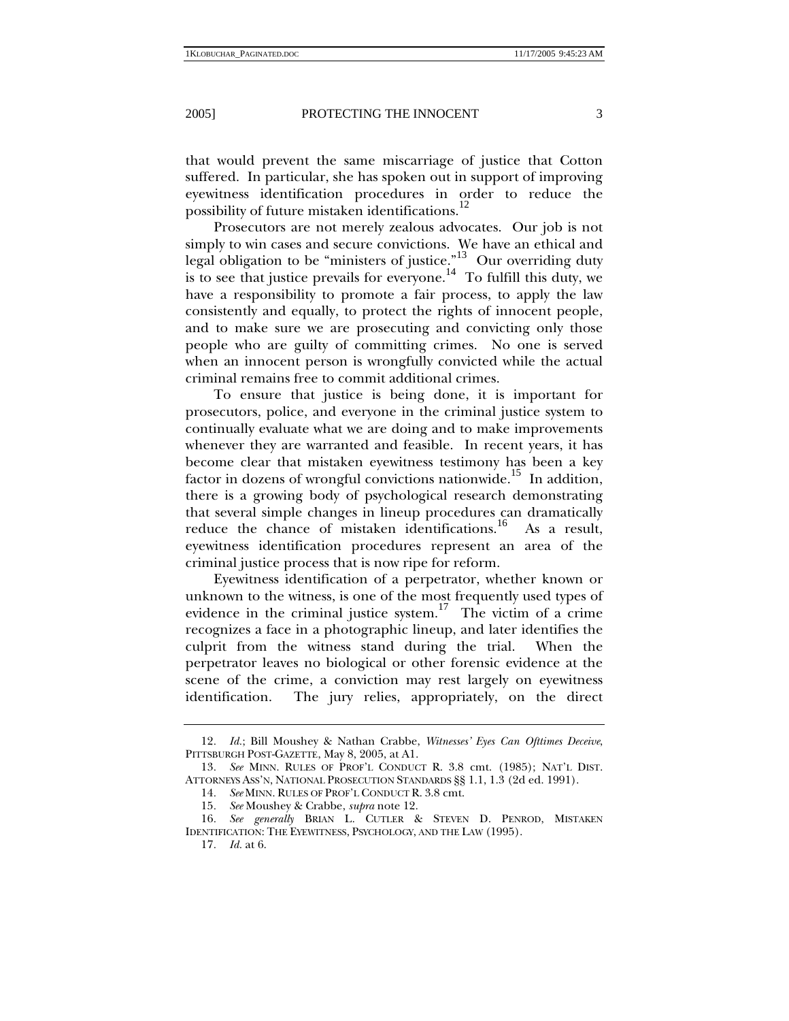that would prevent the same miscarriage of justice that Cotton suffered. In particular, she has spoken out in support of improving eyewitness identification procedures in order to reduce the possibility of future mistaken identifications.<sup>12</sup>

Prosecutors are not merely zealous advocates. Our job is not simply to win cases and secure convictions. We have an ethical and legal obligation to be "ministers of justice."<sup>13</sup> Our overriding duty is to see that justice prevails for everyone.<sup>14</sup> To fulfill this duty, we have a responsibility to promote a fair process, to apply the law consistently and equally, to protect the rights of innocent people, and to make sure we are prosecuting and convicting only those people who are guilty of committing crimes. No one is served when an innocent person is wrongfully convicted while the actual criminal remains free to commit additional crimes.

To ensure that justice is being done, it is important for prosecutors, police, and everyone in the criminal justice system to continually evaluate what we are doing and to make improvements whenever they are warranted and feasible. In recent years, it has become clear that mistaken eyewitness testimony has been a key factor in dozens of wrongful convictions nationwide.<sup>15</sup> In addition, there is a growing body of psychological research demonstrating that several simple changes in lineup procedures can dramatically reduce the chance of mistaken identifications.<sup>16</sup> As a result, eyewitness identification procedures represent an area of the criminal justice process that is now ripe for reform.

Eyewitness identification of a perpetrator, whether known or unknown to the witness, is one of the most frequently used types of evidence in the criminal justice system.<sup>17</sup> The victim of a crime recognizes a face in a photographic lineup, and later identifies the culprit from the witness stand during the trial. When the perpetrator leaves no biological or other forensic evidence at the scene of the crime, a conviction may rest largely on eyewitness identification. The jury relies, appropriately, on the direct

<sup>12</sup>*. Id.*; Bill Moushey & Nathan Crabbe, *Witnesses' Eyes Can Ofttimes Deceive*, PITTSBURGH POST-GAZETTE, May 8, 2005, at A1.

<sup>13</sup>*. See* MINN. RULES OF PROF'L CONDUCT R. 3.8 cmt. (1985); NAT'L DIST. ATTORNEYS ASS'N, NATIONAL PROSECUTION STANDARDS §§ 1.1, 1.3 (2d ed. 1991).

<sup>14</sup>*. See* MINN. RULES OF PROF'L CONDUCT R. 3.8 cmt.

<sup>15</sup>*. See* Moushey & Crabbe, *supra* note 12.

<sup>16</sup>*. See generally* BRIAN L. CUTLER & STEVEN D. PENROD, MISTAKEN IDENTIFICATION: THE EYEWITNESS, PSYCHOLOGY, AND THE LAW (1995).

<sup>17</sup>*. Id.* at 6.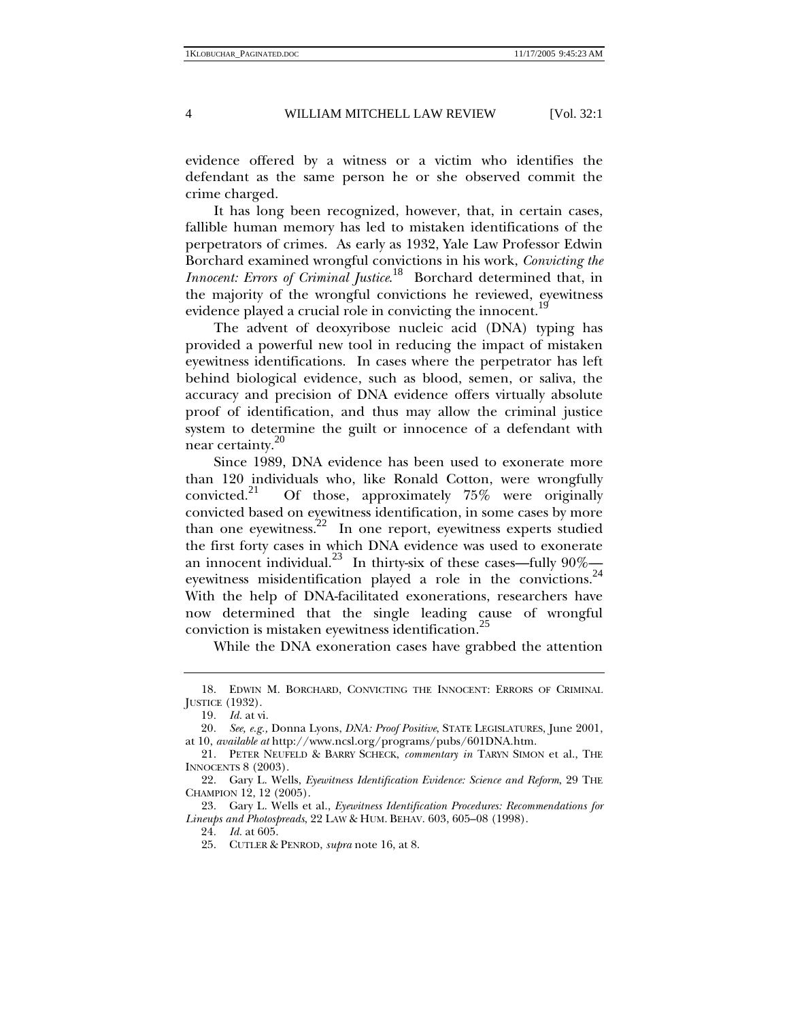evidence offered by a witness or a victim who identifies the defendant as the same person he or she observed commit the crime charged.

It has long been recognized, however, that, in certain cases, fallible human memory has led to mistaken identifications of the perpetrators of crimes. As early as 1932, Yale Law Professor Edwin Borchard examined wrongful convictions in his work, *Convicting the Innocent: Errors of Criminal Justice*. <sup>18</sup> Borchard determined that, in the majority of the wrongful convictions he reviewed, eyewitness evidence played a crucial role in convicting the innocent.1

The advent of deoxyribose nucleic acid (DNA) typing has provided a powerful new tool in reducing the impact of mistaken eyewitness identifications. In cases where the perpetrator has left behind biological evidence, such as blood, semen, or saliva, the accuracy and precision of DNA evidence offers virtually absolute proof of identification, and thus may allow the criminal justice system to determine the guilt or innocence of a defendant with near certainty.<sup>20</sup>

Since 1989, DNA evidence has been used to exonerate more than 120 individuals who, like Ronald Cotton, were wrongfully convicted.<sup>21</sup> Of those, approximately  $75\%$  were originally Of those, approximately  $75\%$  were originally convicted based on eyewitness identification, in some cases by more than one eyewitness.<sup>22</sup> In one report, eyewitness experts studied the first forty cases in which DNA evidence was used to exonerate an innocent individual.<sup>23</sup> In thirty-six of these cases—fully  $90\%$  eyewitness misidentification played a role in the convictions.<sup>24</sup> With the help of DNA-facilitated exonerations, researchers have now determined that the single leading cause of wrongful conviction is mistaken eyewitness identification.<sup>25</sup>

While the DNA exoneration cases have grabbed the attention

 <sup>18.</sup> EDWIN M. BORCHARD, CONVICTING THE INNOCENT: ERRORS OF CRIMINAL JUSTICE (1932).

<sup>19</sup>*. Id.* at vi.

<sup>20</sup>*. See, e.g.,* Donna Lyons, *DNA: Proof Positive*, STATE LEGISLATURES, June 2001, at 10, *available at* http://www.ncsl.org/programs/pubs/601DNA.htm.

 <sup>21.</sup> PETER NEUFELD & BARRY SCHECK, *commentary in* TARYN SIMON et al., THE INNOCENTS 8 (2003).

 <sup>22.</sup> Gary L. Wells, *Eyewitness Identification Evidence: Science and Reform*, 29 THE CHAMPION 12, 12 (2005).

 <sup>23.</sup> Gary L. Wells et al., *Eyewitness Identification Procedures: Recommendations for Lineups and Photospreads*, 22 LAW & HUM. BEHAV. 603, 605–08 (1998).

<sup>24</sup>*. Id.* at 605.

 <sup>25.</sup> CUTLER & PENROD, *supra* note 16, at 8.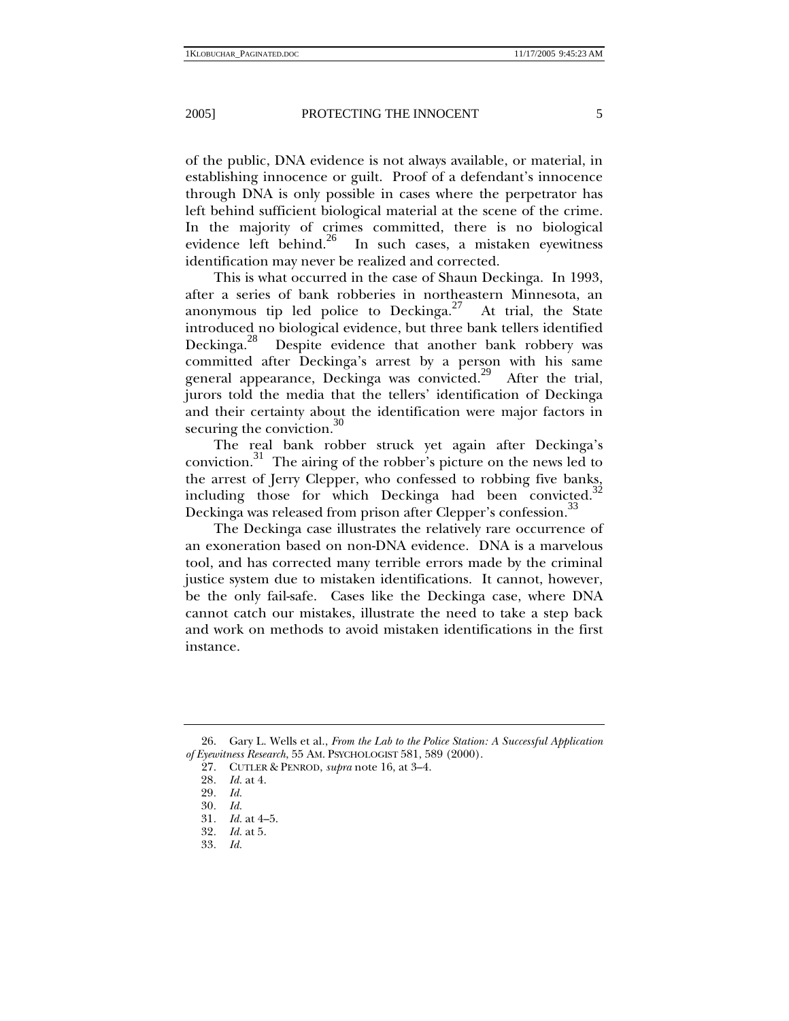of the public, DNA evidence is not always available, or material, in establishing innocence or guilt. Proof of a defendant's innocence through DNA is only possible in cases where the perpetrator has left behind sufficient biological material at the scene of the crime. In the majority of crimes committed, there is no biological evidence left behind.<sup>26</sup> In such cases, a mistaken evewitness In such cases, a mistaken eyewitness identification may never be realized and corrected.

This is what occurred in the case of Shaun Deckinga. In 1993, after a series of bank robberies in northeastern Minnesota, an anonymous tip led police to Deckinga.<sup>27</sup> At trial, the State introduced no biological evidence, but three bank tellers identified Deckinga.28 Despite evidence that another bank robbery was committed after Deckinga's arrest by a person with his same general appearance, Deckinga was convicted.<sup>29</sup> After the trial, jurors told the media that the tellers' identification of Deckinga and their certainty about the identification were major factors in securing the conviction. $30$ 

The real bank robber struck yet again after Deckinga's conviction.31 The airing of the robber's picture on the news led to the arrest of Jerry Clepper, who confessed to robbing five banks, including those for which Deckinga had been convicted.<sup>32</sup> Deckinga was released from prison after Clepper's confession.<sup>33</sup>

The Deckinga case illustrates the relatively rare occurrence of an exoneration based on non-DNA evidence. DNA is a marvelous tool, and has corrected many terrible errors made by the criminal justice system due to mistaken identifications. It cannot, however, be the only fail-safe. Cases like the Deckinga case, where DNA cannot catch our mistakes, illustrate the need to take a step back and work on methods to avoid mistaken identifications in the first instance.

 <sup>26.</sup> Gary L. Wells et al., *From the Lab to the Police Station: A Successful Application of Eyewitness Research*, 55 AM. PSYCHOLOGIST 581, 589 (2000).

 <sup>27.</sup> CUTLER & PENROD, *supra* note 16, at 3–4.

<sup>28</sup>*. Id.* at 4.

<sup>29</sup>*. Id.*

<sup>30</sup>*. Id.*

<sup>31</sup>*. Id.* at 4–5.

<sup>32</sup>*. Id.* at 5.

<sup>33</sup>*. Id.*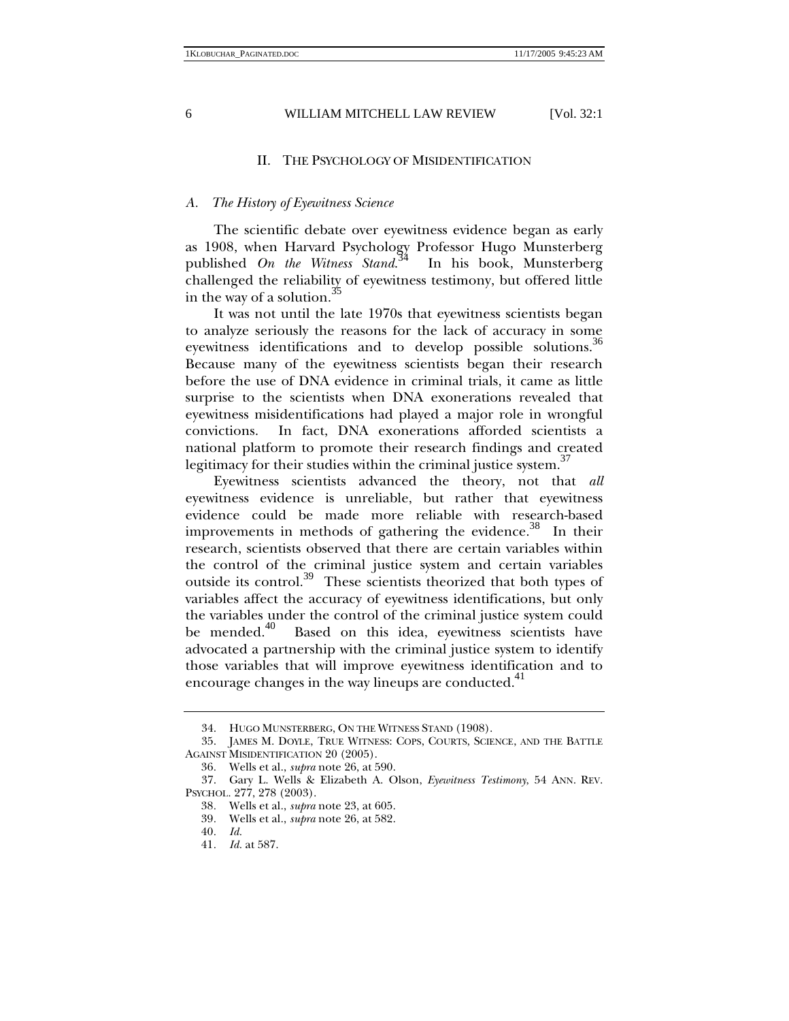## II. THE PSYCHOLOGY OF MISIDENTIFICATION

#### *A. The History of Eyewitness Science*

The scientific debate over eyewitness evidence began as early as 1908, when Harvard Psychology Professor Hugo Munsterberg published *On the Witness Stand*. In his book, Munsterberg challenged the reliability of eyewitness testimony, but offered little in the way of a solution. $\overline{5}$ 

It was not until the late 1970s that eyewitness scientists began to analyze seriously the reasons for the lack of accuracy in some eyewitness identifications and to develop possible solutions.<sup>36</sup> Because many of the eyewitness scientists began their research before the use of DNA evidence in criminal trials, it came as little surprise to the scientists when DNA exonerations revealed that eyewitness misidentifications had played a major role in wrongful convictions. In fact, DNA exonerations afforded scientists a national platform to promote their research findings and created legitimacy for their studies within the criminal justice system.<sup>37</sup>

Eyewitness scientists advanced the theory, not that *all*  eyewitness evidence is unreliable, but rather that eyewitness evidence could be made more reliable with research-based improvements in methods of gathering the evidence.<sup>38</sup> In their research, scientists observed that there are certain variables within the control of the criminal justice system and certain variables outside its control.39 These scientists theorized that both types of variables affect the accuracy of eyewitness identifications, but only the variables under the control of the criminal justice system could<br>be mended.<sup>40</sup> Based on this idea, eyewitness scientists have Based on this idea, eyewitness scientists have advocated a partnership with the criminal justice system to identify those variables that will improve eyewitness identification and to encourage changes in the way lineups are conducted.<sup>41</sup>

 <sup>34.</sup> HUGO MUNSTERBERG, ON THE WITNESS STAND (1908).

 <sup>35.</sup> JAMES M. DOYLE, TRUE WITNESS: COPS, COURTS, SCIENCE, AND THE BATTLE AGAINST MISIDENTIFICATION 20 (2005).

<sup>36</sup>*.* Wells et al., *supra* note 26, at 590.

 <sup>37.</sup> Gary L. Wells & Elizabeth A. Olson, *Eyewitness Testimony*, 54 ANN. REV. PSYCHOL. 277, 278 (2003).

<sup>38</sup>*.* Wells et al., *supra* note 23, at 605.

<sup>39</sup>*.* Wells et al., *supra* note 26, at 582.

<sup>40</sup>*. Id.*

<sup>41</sup>*. Id.* at 587.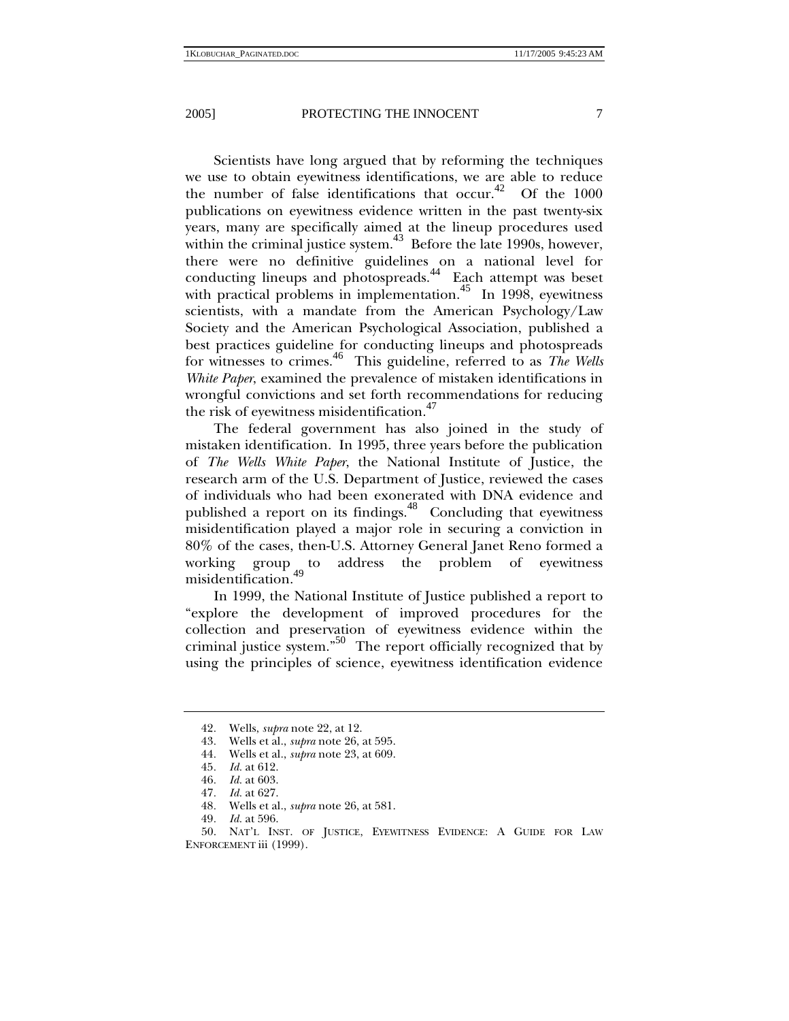Scientists have long argued that by reforming the techniques we use to obtain eyewitness identifications, we are able to reduce the number of false identifications that occur.<sup>42</sup> Of the 1000 publications on eyewitness evidence written in the past twenty-six years, many are specifically aimed at the lineup procedures used within the criminal justice system. $43$  Before the late 1990s, however, there were no definitive guidelines on a national level for conducting lineups and photospreads.<sup>44</sup> Each attempt was beset with practical problems in implementation.<sup>45</sup> In 1998, eyewitness scientists, with a mandate from the American Psychology/Law Society and the American Psychological Association, published a best practices guideline for conducting lineups and photospreads for witnesses to crimes.46 This guideline, referred to as *The Wells White Paper*, examined the prevalence of mistaken identifications in wrongful convictions and set forth recommendations for reducing the risk of eyewitness misidentification. $47$ 

The federal government has also joined in the study of mistaken identification. In 1995, three years before the publication of *The Wells White Paper*, the National Institute of Justice, the research arm of the U.S. Department of Justice, reviewed the cases of individuals who had been exonerated with DNA evidence and published a report on its findings.48 Concluding that eyewitness misidentification played a major role in securing a conviction in 80% of the cases, then-U.S. Attorney General Janet Reno formed a working group to address the problem of eyewitness misidentification.

In 1999, the National Institute of Justice published a report to "explore the development of improved procedures for the collection and preservation of eyewitness evidence within the criminal justice system."50 The report officially recognized that by using the principles of science, eyewitness identification evidence

<sup>42.</sup> Wells, *supra* note 22, at 12.<br>43. Wells et al., *supra* note 26, *i*<br>44. Wells et al., *supra* note 23, 43*.* Wells et al., *supra* note 26, at 595.

<sup>44</sup>*.* Wells et al., *supra* note 23, at 609.

<sup>45</sup>*. Id.* at 612.

<sup>46</sup>*. Id.* at 603.

<sup>47</sup>*. Id.* at 627.

<sup>48</sup>*.* Wells et al., *supra* note 26, at 581.

<sup>49</sup>*. Id.* at 596.

 <sup>50.</sup> NAT'L INST. OF JUSTICE, EYEWITNESS EVIDENCE: A GUIDE FOR LAW ENFORCEMENT iii (1999).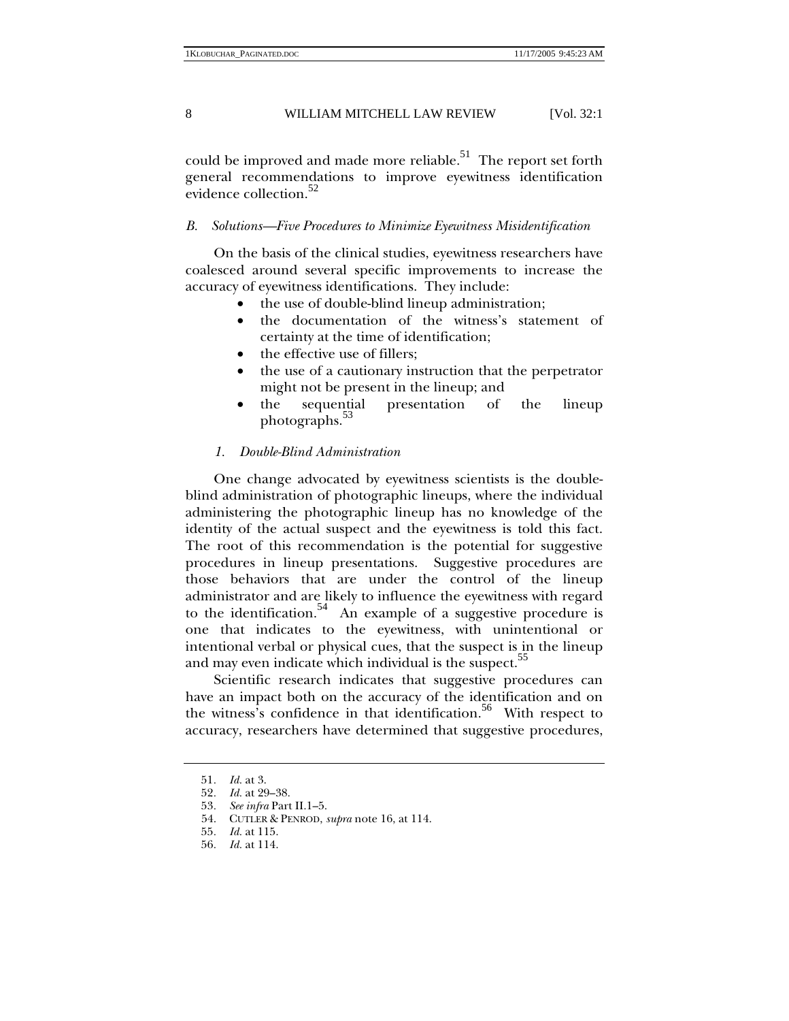could be improved and made more reliable.<sup>51</sup> The report set forth general recommendations to improve eyewitness identification evidence collection.<sup>52</sup>

## *B. Solutions—Five Procedures to Minimize Eyewitness Misidentification*

On the basis of the clinical studies, eyewitness researchers have coalesced around several specific improvements to increase the accuracy of eyewitness identifications. They include:

- the use of double-blind lineup administration;
- the documentation of the witness's statement of certainty at the time of identification;
- the effective use of fillers;
- the use of a cautionary instruction that the perpetrator might not be present in the lineup; and
- the sequential presentation of the lineup photographs.<sup>53</sup>

#### *1. Double-Blind Administration*

One change advocated by eyewitness scientists is the doubleblind administration of photographic lineups, where the individual administering the photographic lineup has no knowledge of the identity of the actual suspect and the eyewitness is told this fact. The root of this recommendation is the potential for suggestive procedures in lineup presentations. Suggestive procedures are those behaviors that are under the control of the lineup administrator and are likely to influence the eyewitness with regard to the identification.<sup>54</sup> An example of a suggestive procedure is one that indicates to the eyewitness, with unintentional or intentional verbal or physical cues, that the suspect is in the lineup and may even indicate which individual is the suspect.<sup>55</sup>

Scientific research indicates that suggestive procedures can have an impact both on the accuracy of the identification and on the witness's confidence in that identification.<sup>56</sup> With respect to accuracy, researchers have determined that suggestive procedures,

<sup>51</sup>*. Id.* at 3.

<sup>52</sup>*. Id.* at 29–38.

<sup>53</sup>*. See infra* Part II.1–5.

 <sup>54.</sup> CUTLER & PENROD, *supra* note 16, at 114.

<sup>55</sup>*. Id.* at 115.

<sup>56</sup>*. Id.* at 114.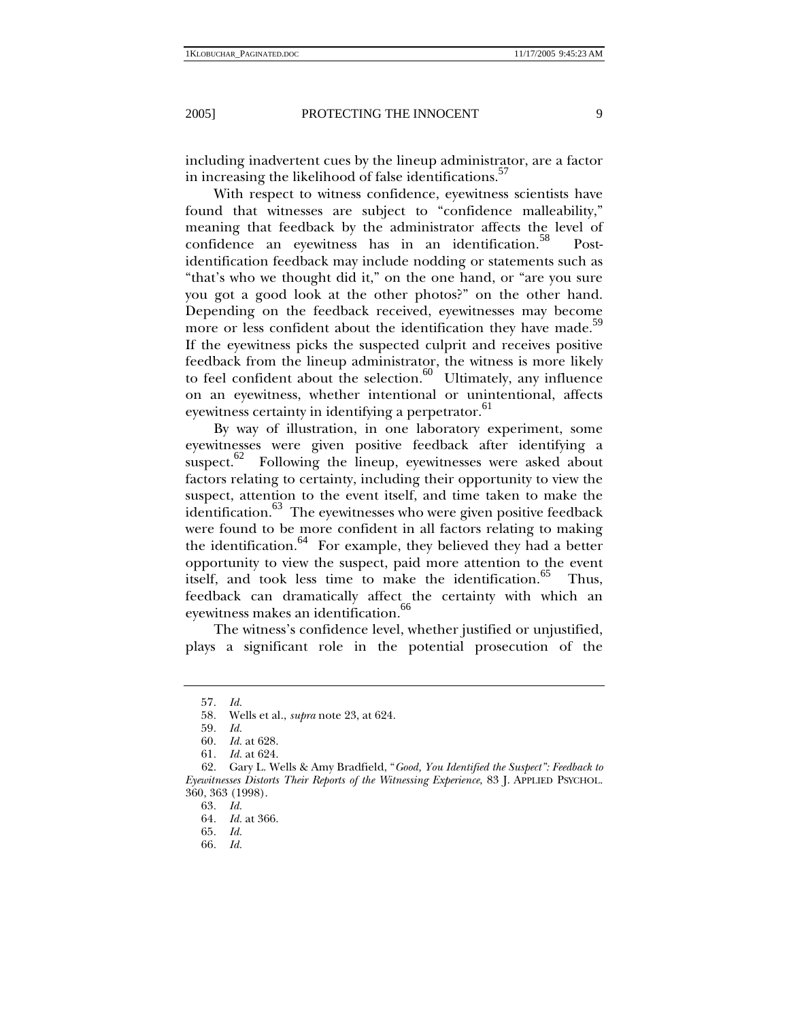including inadvertent cues by the lineup administrator, are a factor in increasing the likelihood of false identifications.<sup>37</sup>

With respect to witness confidence, eyewitness scientists have found that witnesses are subject to "confidence malleability," meaning that feedback by the administrator affects the level of confidence an eyewitness has in an identification.<sup>58</sup> Postidentification feedback may include nodding or statements such as "that's who we thought did it," on the one hand, or "are you sure you got a good look at the other photos?" on the other hand. Depending on the feedback received, eyewitnesses may become more or less confident about the identification they have made.<sup>59</sup> If the eyewitness picks the suspected culprit and receives positive feedback from the lineup administrator, the witness is more likely to feel confident about the selection. $60$  Ultimately, any influence on an eyewitness, whether intentional or unintentional, affects eyewitness certainty in identifying a perpetrator.<sup>61</sup>

By way of illustration, in one laboratory experiment, some eyewitnesses were given positive feedback after identifying a suspect. $62$  Following the lineup, eyewitnesses were asked about factors relating to certainty, including their opportunity to view the suspect, attention to the event itself, and time taken to make the identification. $^{63}$  The eyewitnesses who were given positive feedback were found to be more confident in all factors relating to making the identification. $64$  For example, they believed they had a better opportunity to view the suspect, paid more attention to the event itself, and took less time to make the identification.<sup>65</sup> Thus, feedback can dramatically affect the certainty with which an eyewitness makes an identification.<sup>66</sup>

The witness's confidence level, whether justified or unjustified, plays a significant role in the potential prosecution of the

<sup>57</sup>*. Id.*

<sup>58</sup>*.* Wells et al., *supra* note 23, at 624.

<sup>59</sup>*. Id.*

<sup>60</sup>*. Id.* at 628.

<sup>61</sup>*. Id.* at 624.

 <sup>62.</sup> Gary L. Wells & Amy Bradfield, "*Good, You Identified the Suspect": Feedback to Eyewitnesses Distorts Their Reports of the Witnessing Experience*, 83 J. APPLIED PSYCHOL. 360, 363 (1998).

<sup>63</sup>*. Id.*

<sup>64</sup>*. Id.* at 366.

<sup>65</sup>*. Id.*

<sup>66</sup>*. Id.*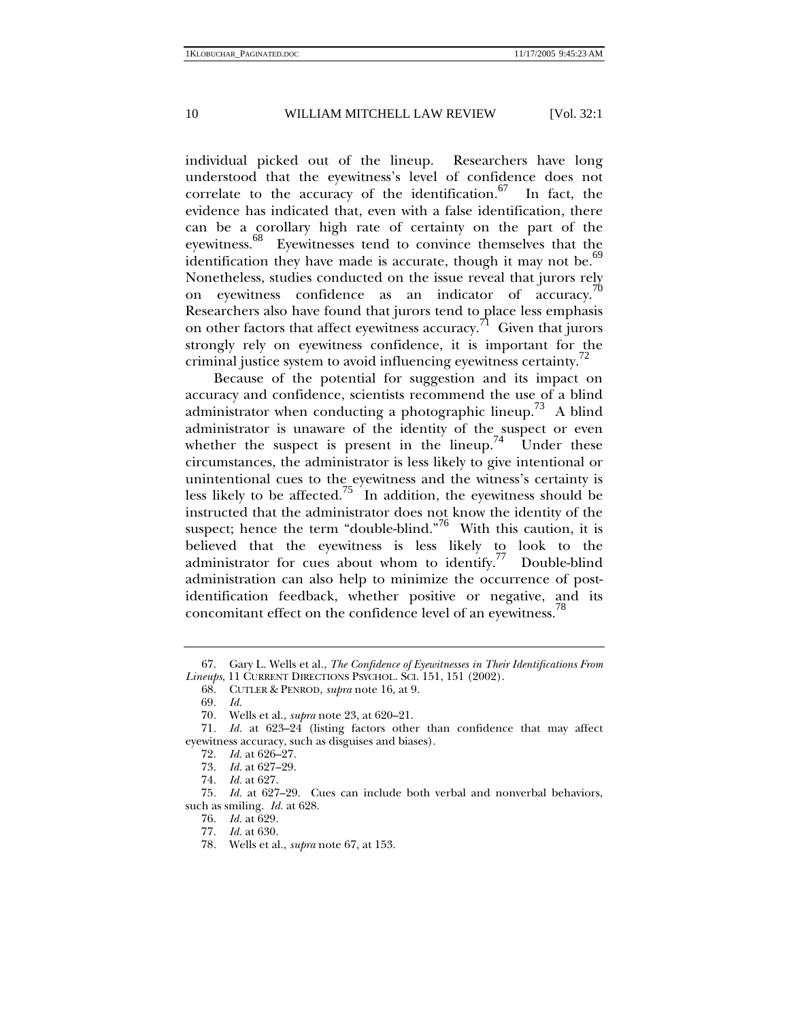individual picked out of the lineup. Researchers have long understood that the eyewitness's level of confidence does not correlate to the accuracy of the identification. $67$  In fact, the evidence has indicated that, even with a false identification, there can be a corollary high rate of certainty on the part of the eyewitness.<sup>68</sup> Eyewitnesses tend to convince themselves that the identification they have made is accurate, though it may not be. $69$ Nonetheless, studies conducted on the issue reveal that jurors rely on eyewitness confidence as an indicator of accuracy.<sup>70</sup> Researchers also have found that jurors tend to place less emphasis on other factors that affect eyewitness accuracy.<sup> $1$ </sup> Given that jurors strongly rely on eyewitness confidence, it is important for the criminal justice system to avoid influencing eyewitness certainty.<sup>72</sup>

Because of the potential for suggestion and its impact on accuracy and confidence, scientists recommend the use of a blind administrator when conducting a photographic lineup.<sup>73</sup> A blind administrator is unaware of the identity of the suspect or even whether the suspect is present in the lineup.<sup>74</sup> Under these circumstances, the administrator is less likely to give intentional or unintentional cues to the eyewitness and the witness's certainty is less likely to be affected.<sup>75</sup> In addition, the eyewitness should be instructed that the administrator does not know the identity of the suspect; hence the term "double-blind."<sup>76</sup> With this caution, it is believed that the eyewitness is less likely to look to the administrator for cues about whom to identify.<sup>77</sup> Double-blind administration can also help to minimize the occurrence of postidentification feedback, whether positive or negative, and its concomitant effect on the confidence level of an eyewitness.<sup>78</sup>

 <sup>67.</sup> Gary L. Wells et al., *The Confidence of Eyewitnesses in Their Identifications From Lineups*, 11 CURRENT DIRECTIONS PSYCHOL. SCI. 151, 151 (2002).

 <sup>68.</sup> CUTLER & PENROD, *supra* note 16, at 9.

<sup>69</sup>*. Id.*

<sup>70</sup>*.* Wells et al., *supra* note 23, at 620–21.

<sup>71</sup>*. Id.* at 623–24 (listing factors other than confidence that may affect eyewitness accuracy, such as disguises and biases).

<sup>72</sup>*. Id.* at 626–27.

<sup>73</sup>*. Id.* at 627–29.

<sup>74</sup>*. Id.* at 627.

<sup>75</sup>*. Id.* at 627–29. Cues can include both verbal and nonverbal behaviors, such as smiling. *Id.* at 628.

<sup>76</sup>*. Id.* at 629.

<sup>77</sup>*. Id.* at 630.

<sup>78</sup>*.* Wells et al., *supra* note 67, at 153.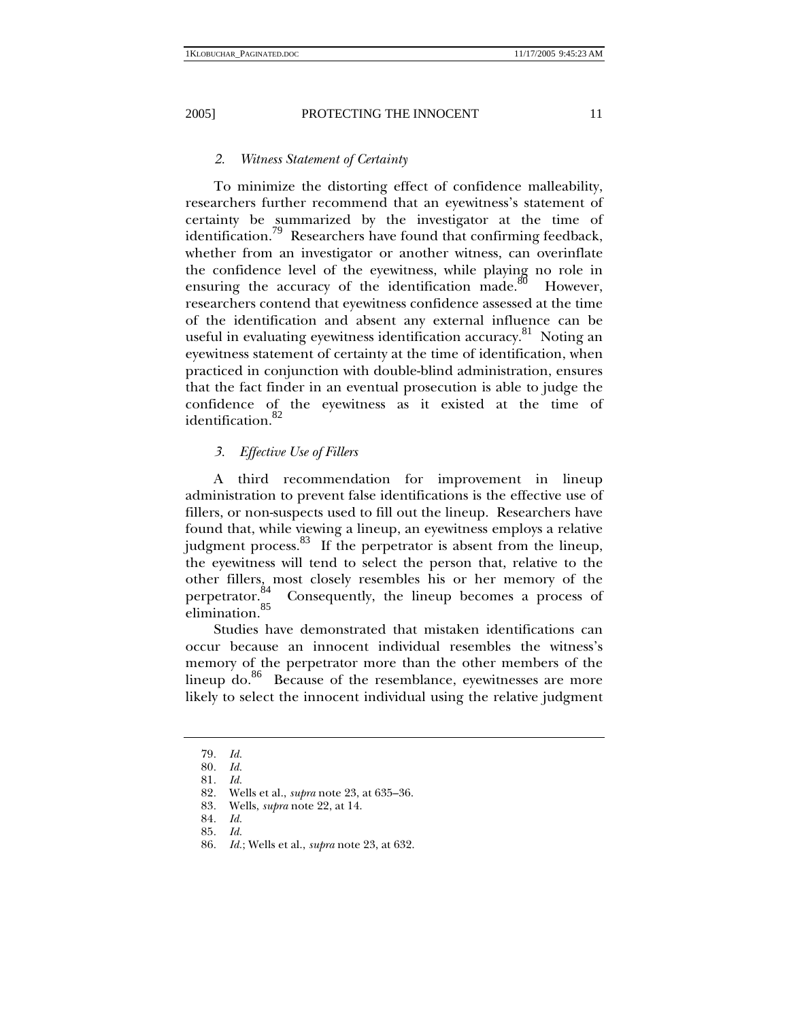## *2. Witness Statement of Certainty*

To minimize the distorting effect of confidence malleability, researchers further recommend that an eyewitness's statement of certainty be summarized by the investigator at the time of identification.<sup>79</sup> Researchers have found that confirming feedback, whether from an investigator or another witness, can overinflate the confidence level of the eyewitness, while playing no role in ensuring the accuracy of the identification made.<sup>80</sup> However, researchers contend that eyewitness confidence assessed at the time of the identification and absent any external influence can be useful in evaluating eyewitness identification accuracy.<sup>81</sup> Noting an eyewitness statement of certainty at the time of identification, when practiced in conjunction with double-blind administration, ensures that the fact finder in an eventual prosecution is able to judge the confidence of the eyewitness as it existed at the time of identification. $82$ 

## *3. Effective Use of Fillers*

A third recommendation for improvement in lineup administration to prevent false identifications is the effective use of fillers, or non-suspects used to fill out the lineup. Researchers have found that, while viewing a lineup, an eyewitness employs a relative judgment process.<sup>83</sup> If the perpetrator is absent from the lineup, the eyewitness will tend to select the person that, relative to the other fillers, most closely resembles his or her memory of the perpetrator.  $^{84}_{\circ}$  Consequently, the lineup becomes a process of Consequently, the lineup becomes a process of elimination.<sup>85</sup>

Studies have demonstrated that mistaken identifications can occur because an innocent individual resembles the witness's memory of the perpetrator more than the other members of the lineup do.<sup>86</sup> Because of the resemblance, eyewitnesses are more likely to select the innocent individual using the relative judgment

<sup>79</sup>*. Id.*

<sup>80</sup>*. Id.*

<sup>81</sup>*. Id.*

<sup>82</sup>*.* Wells et al., *supra* note 23, at 635–36.

<sup>83</sup>*.* Wells, *supra* note 22, at 14.

<sup>84</sup>*. Id.*

<sup>85</sup>*. Id.*

<sup>86</sup>*. Id.*; Wells et al., *supra* note 23, at 632.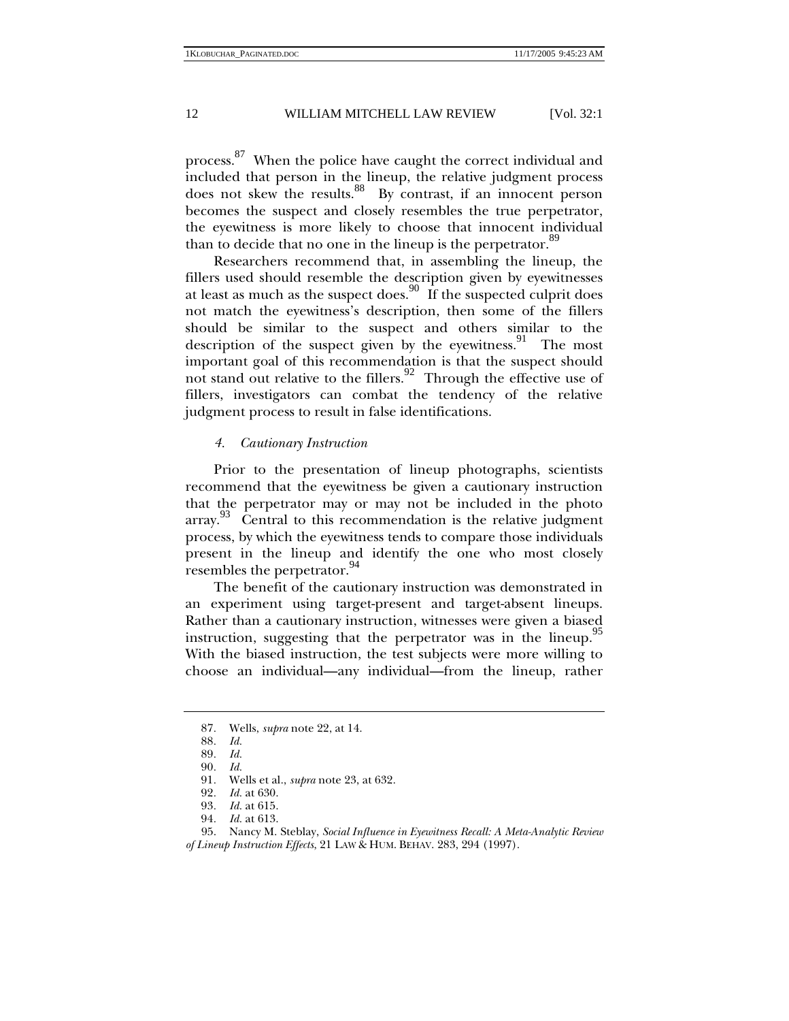process.<sup>87</sup> When the police have caught the correct individual and included that person in the lineup, the relative judgment process does not skew the results.<sup>88</sup> By contrast, if an innocent person becomes the suspect and closely resembles the true perpetrator, the eyewitness is more likely to choose that innocent individual than to decide that no one in the lineup is the perpetrator.<sup>89</sup>

Researchers recommend that, in assembling the lineup, the fillers used should resemble the description given by eyewitnesses at least as much as the suspect does.<sup>90</sup> If the suspected culprit does not match the eyewitness's description, then some of the fillers should be similar to the suspect and others similar to the description of the suspect given by the eyewitness.<sup>91</sup> The most important goal of this recommendation is that the suspect should not stand out relative to the fillers.<sup>92</sup> Through the effective use of fillers, investigators can combat the tendency of the relative judgment process to result in false identifications.

## *4. Cautionary Instruction*

Prior to the presentation of lineup photographs, scientists recommend that the eyewitness be given a cautionary instruction that the perpetrator may or may not be included in the photo array.<sup>93</sup> Central to this recommendation is the relative judgment process, by which the eyewitness tends to compare those individuals present in the lineup and identify the one who most closely resembles the perpetrator.<sup>94</sup>

The benefit of the cautionary instruction was demonstrated in an experiment using target-present and target-absent lineups. Rather than a cautionary instruction, witnesses were given a biased instruction, suggesting that the perpetrator was in the lineup.<sup>95</sup> With the biased instruction, the test subjects were more willing to choose an individual—any individual—from the lineup, rather

<sup>87</sup>*.* Wells, *supra* note 22, at 14.

<sup>88</sup>*. Id.*

<sup>89</sup>*. Id.*

<sup>90</sup>*. Id.*

<sup>91</sup>*.* Wells et al., *supra* note 23, at 632.

<sup>92</sup>*. Id.* at 630.

<sup>93</sup>*. Id.* at 615.

<sup>94</sup>*. Id.* at 613.

 <sup>95.</sup> Nancy M. Steblay, *Social Influence in Eyewitness Recall: A Meta-Analytic Review of Lineup Instruction Effects*, 21 LAW & HUM. BEHAV. 283, 294 (1997).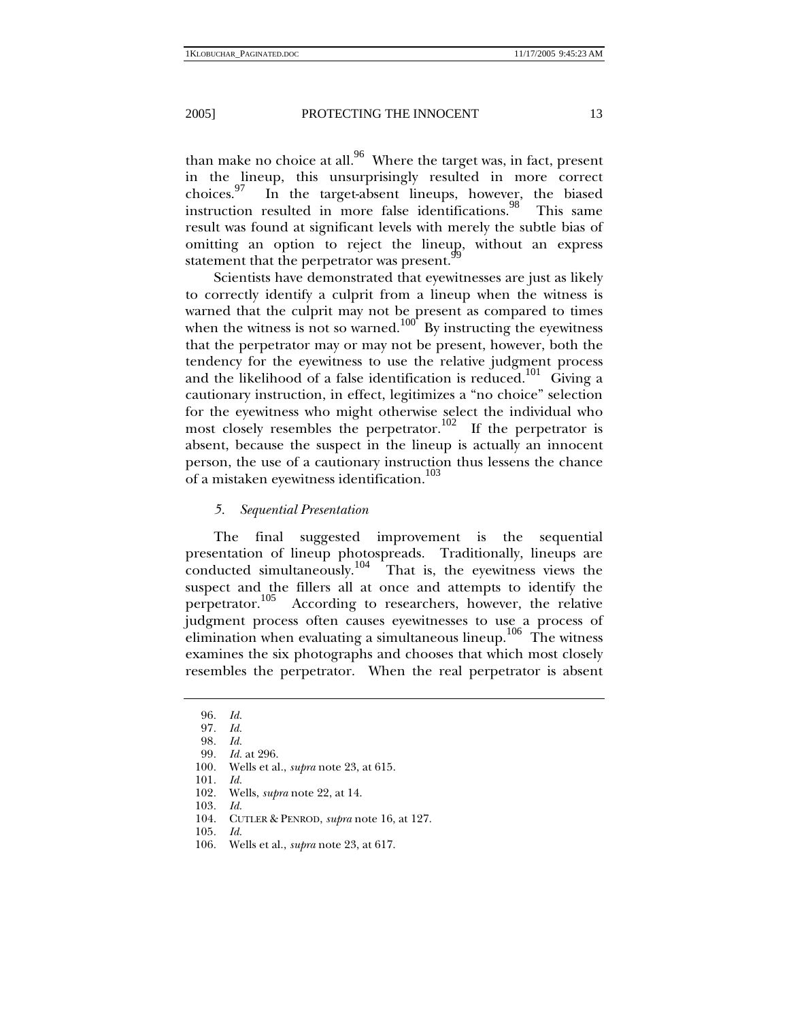than make no choice at all.<sup>96</sup> Where the target was, in fact, present in the lineup, this unsurprisingly resulted in more correct choices.97 In the target-absent lineups, however, the biased instruction resulted in more false identifications.<sup>98</sup> This same result was found at significant levels with merely the subtle bias of omitting an option to reject the lineup, without an express statement that the perpetrator was present.<sup>9</sup>

Scientists have demonstrated that eyewitnesses are just as likely to correctly identify a culprit from a lineup when the witness is warned that the culprit may not be present as compared to times when the witness is not so warned.<sup>100</sup> By instructing the eyewitness that the perpetrator may or may not be present, however, both the tendency for the eyewitness to use the relative judgment process and the likelihood of a false identification is reduced.<sup>101</sup> Giving a cautionary instruction, in effect, legitimizes a "no choice" selection for the eyewitness who might otherwise select the individual who most closely resembles the perpetrator.<sup>102</sup> If the perpetrator is absent, because the suspect in the lineup is actually an innocent person, the use of a cautionary instruction thus lessens the chance of a mistaken eyewitness identification.<sup>103</sup>

*5. Sequential Presentation* 

The final suggested improvement is the sequential presentation of lineup photospreads. Traditionally, lineups are conducted simultaneously.<sup>104</sup> That is, the eyewitness views the suspect and the fillers all at once and attempts to identify the perpetrator.<sup>105</sup> According to researchers, however, the relative judgment process often causes eyewitnesses to use a process of elimination when evaluating a simultaneous lineup.<sup>106</sup> The witness examines the six photographs and chooses that which most closely resembles the perpetrator. When the real perpetrator is absent

103*. Id.*

<sup>96</sup>*. Id.*

<sup>97</sup>*. Id.*

<sup>98</sup>*. Id.*

<sup>99</sup>*. Id.* at 296.

<sup>100</sup>*.* Wells et al., *supra* note 23, at 615.

<sup>101</sup>*. Id.*

<sup>102</sup>*.* Wells, *supra* note 22, at 14.

 <sup>104.</sup> CUTLER & PENROD, *supra* note 16, at 127.

<sup>105</sup>*. Id.* 106*.* Wells et al., *supra* note 23, at 617.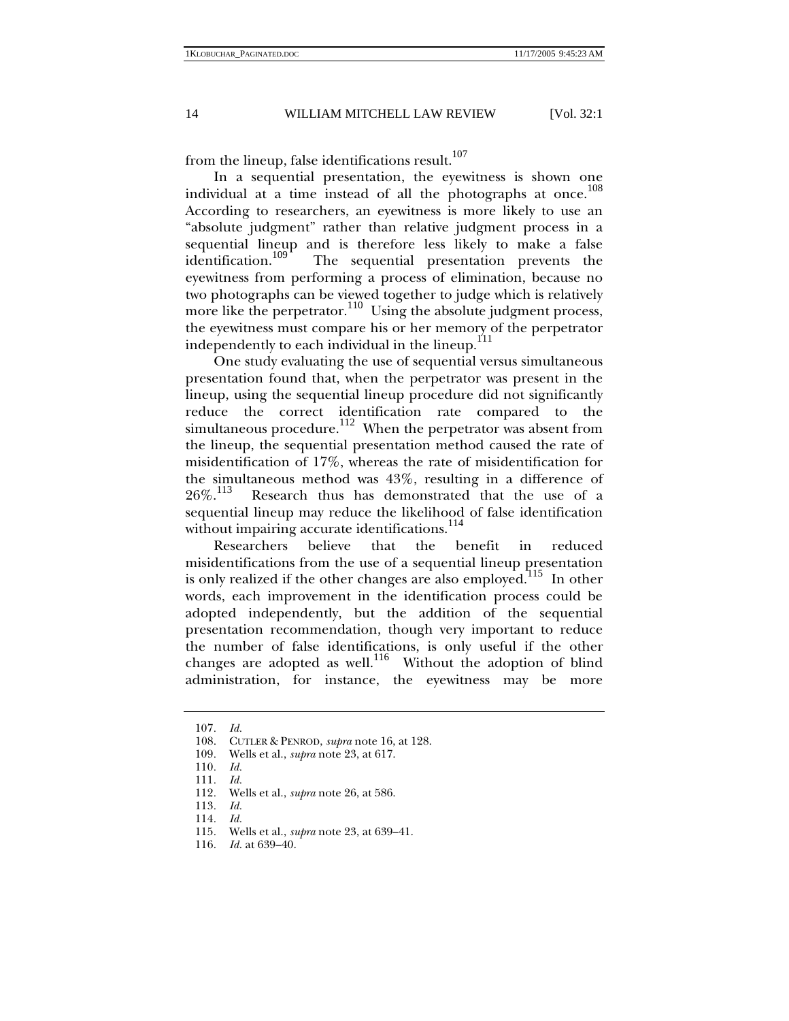from the lineup, false identifications result.<sup>107</sup>

In a sequential presentation, the eyewitness is shown one individual at a time instead of all the photographs at once.<sup>108</sup> According to researchers, an eyewitness is more likely to use an "absolute judgment" rather than relative judgment process in a sequential lineup and is therefore less likely to make a false identification.<sup>109</sup> The sequential presentation prevents the The sequential presentation prevents the eyewitness from performing a process of elimination, because no two photographs can be viewed together to judge which is relatively more like the perpetrator.<sup>110</sup> Using the absolute judgment process, the eyewitness must compare his or her memory of the perpetrator independently to each individual in the lineup. $111$ 

One study evaluating the use of sequential versus simultaneous presentation found that, when the perpetrator was present in the lineup, using the sequential lineup procedure did not significantly reduce the correct identification rate compared to the simultaneous procedure.<sup>112</sup> When the perpetrator was absent from the lineup, the sequential presentation method caused the rate of misidentification of 17%, whereas the rate of misidentification for the simultaneous method was  $43\%$ , resulting in a difference of  $26\%$ .<sup>113</sup> Research thus has demonstrated that the use of a Research thus has demonstrated that the use of a sequential lineup may reduce the likelihood of false identification without impairing accurate identifications.<sup>114</sup>

Researchers believe that the benefit in reduced misidentifications from the use of a sequential lineup presentation is only realized if the other changes are also employed.<sup>115</sup> In other words, each improvement in the identification process could be adopted independently, but the addition of the sequential presentation recommendation, though very important to reduce the number of false identifications, is only useful if the other changes are adopted as well.<sup>116</sup> Without the adoption of blind administration, for instance, the eyewitness may be more

<sup>107</sup>*. Id.*

 <sup>108.</sup> CUTLER & PENROD, *supra* note 16, at 128.

<sup>109</sup>*.* Wells et al., *supra* note 23, at 617.

<sup>110</sup>*. Id.*

<sup>111</sup>*. Id.*

<sup>112</sup>*.* Wells et al., *supra* note 26, at 586.

<sup>113</sup>*. Id.*

<sup>114</sup>*. Id.*

<sup>115</sup>*.* Wells et al., *supra* note 23, at 639–41.

<sup>116</sup>*. Id.* at 639–40.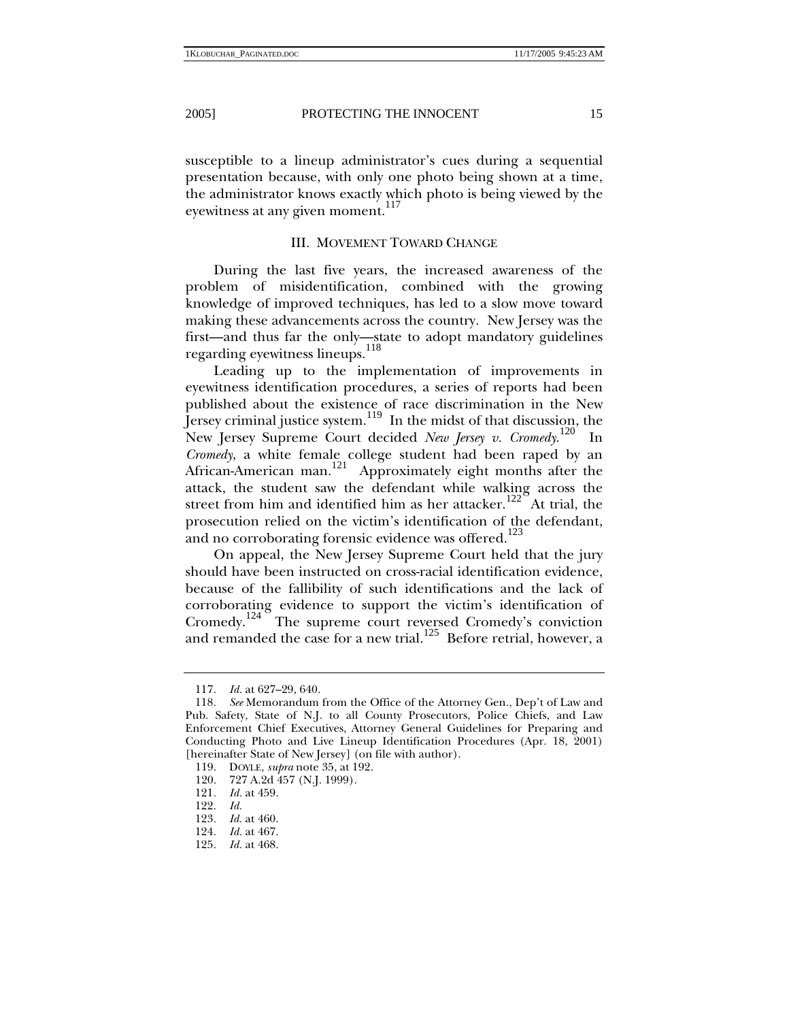susceptible to a lineup administrator's cues during a sequential presentation because, with only one photo being shown at a time, the administrator knows exactly which photo is being viewed by the eyewitness at any given moment.<sup>117</sup>

## III. MOVEMENT TOWARD CHANGE

During the last five years, the increased awareness of the problem of misidentification, combined with the growing knowledge of improved techniques, has led to a slow move toward making these advancements across the country. New Jersey was the first—and thus far the only—state to adopt mandatory guidelines regarding eyewitness lineups.<sup>118</sup>

Leading up to the implementation of improvements in eyewitness identification procedures, a series of reports had been published about the existence of race discrimination in the New Jersey criminal justice system.<sup>119</sup> In the midst of that discussion, the New Jersey Supreme Court decided *New Jersey v. Cromedy.*<sup>120</sup> In *Cromedy*, a white female college student had been raped by an African-American man.<sup>121</sup> Approximately eight months after the attack, the student saw the defendant while walking across the street from him and identified him as her attacker.<sup>122</sup> At trial, the prosecution relied on the victim's identification of the defendant, and no corroborating forensic evidence was offered.<sup>123</sup>

On appeal, the New Jersey Supreme Court held that the jury should have been instructed on cross-racial identification evidence, because of the fallibility of such identifications and the lack of corroborating evidence to support the victim's identification of Cromedy.<sup>124</sup> The supreme court reversed Cromedy's conviction and remanded the case for a new trial.<sup>125</sup> Before retrial, however, a

<sup>117</sup>*. Id.* at 627–29, 640.

<sup>118</sup>*. See* Memorandum from the Office of the Attorney Gen., Dep't of Law and Pub. Safety, State of N.J. to all County Prosecutors, Police Chiefs, and Law Enforcement Chief Executives, Attorney General Guidelines for Preparing and Conducting Photo and Live Lineup Identification Procedures (Apr. 18, 2001) [hereinafter State of New Jersey] (on file with author).

 <sup>119.</sup> DOYLE, *supra* note 35, at 192.

 <sup>120. 727</sup> A.2d 457 (N.J. 1999).

<sup>121</sup>*. Id.* at 459.

<sup>122</sup>*. Id.*

<sup>123</sup>*. Id.* at 460.

<sup>124</sup>*. Id.* at 467.

<sup>125</sup>*. Id.* at 468.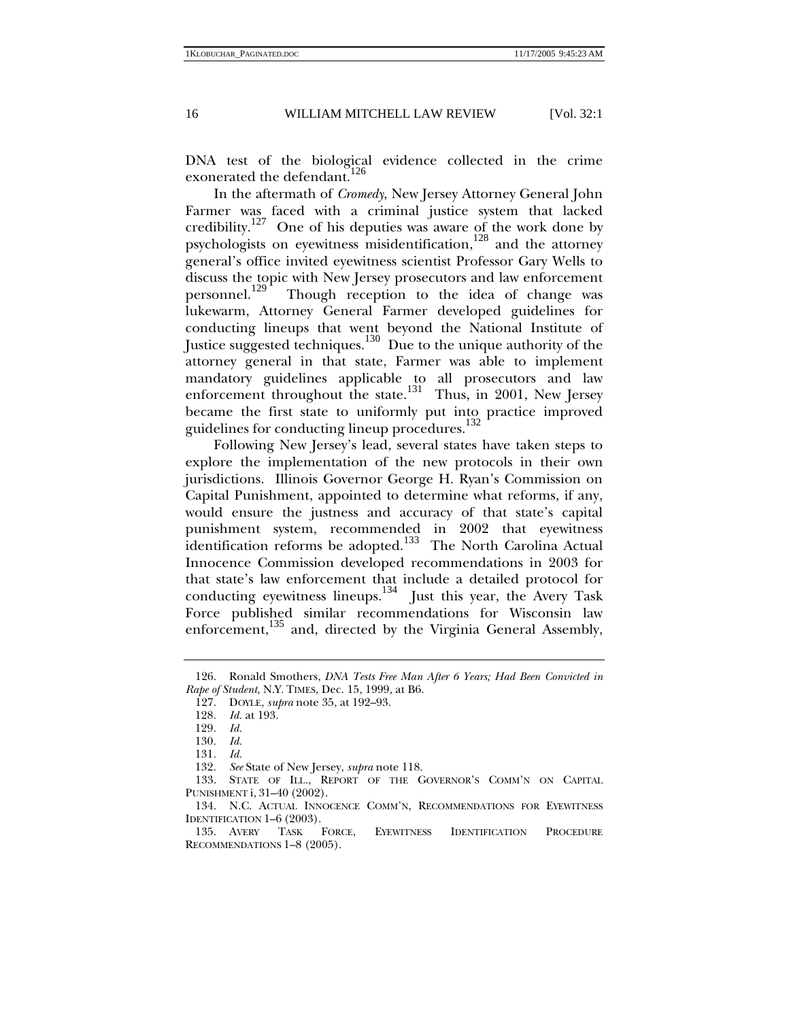DNA test of the biological evidence collected in the crime exonerated the defendant.<sup>126</sup>

In the aftermath of *Cromedy*, New Jersey Attorney General John Farmer was faced with a criminal justice system that lacked credibility.<sup>127</sup> One of his deputies was aware of the work done by psychologists on eyewitness misidentification, $128$  and the attorney general's office invited eyewitness scientist Professor Gary Wells to discuss the topic with New Jersey prosecutors and law enforcement<br>personnel.<sup>129</sup> Though reception to the idea of change was Though reception to the idea of change was lukewarm, Attorney General Farmer developed guidelines for conducting lineups that went beyond the National Institute of Justice suggested techniques.<sup>130</sup> Due to the unique authority of the attorney general in that state, Farmer was able to implement mandatory guidelines applicable to all prosecutors and law enforcement throughout the state.<sup>131</sup> Thus, in 2001, New Jersey became the first state to uniformly put into practice improved guidelines for conducting lineup procedures.<sup>132</sup>

Following New Jersey's lead, several states have taken steps to explore the implementation of the new protocols in their own jurisdictions. Illinois Governor George H. Ryan's Commission on Capital Punishment, appointed to determine what reforms, if any, would ensure the justness and accuracy of that state's capital punishment system, recommended in 2002 that eyewitness identification reforms be adopted.<sup>133</sup> The North Carolina Actual Innocence Commission developed recommendations in 2003 for that state's law enforcement that include a detailed protocol for conducting eyewitness lineups. $134$  Just this year, the Avery Task Force published similar recommendations for Wisconsin law enforcement,<sup>135</sup> and, directed by the Virginia General Assembly,

 <sup>126.</sup> Ronald Smothers, *DNA Tests Free Man After 6 Years; Had Been Convicted in Rape of Student*, N.Y. TIMES, Dec. 15, 1999, at B6.

 <sup>127.</sup> DOYLE, *supra* note 35, at 192–93.

<sup>128.</sup> *Id.* at 193.<br>199 *Id.* 

<sup>129</sup>*. Id.*

<sup>130</sup>*. Id.*

<sup>131</sup>*. Id.*

<sup>132</sup>*. See* State of New Jersey, *supra* note 118.

 <sup>133.</sup> STATE OF ILL., REPORT OF THE GOVERNOR'S COMM'N ON CAPITAL PUNISHMENT i, 31–40 (2002).

 <sup>134.</sup> N.C. ACTUAL INNOCENCE COMM'N, RECOMMENDATIONS FOR EYEWITNESS IDENTIFICATION 1–6 (2003).

 <sup>135.</sup> AVERY TASK FORCE, EYEWITNESS IDENTIFICATION PROCEDURE RECOMMENDATIONS 1–8 (2005).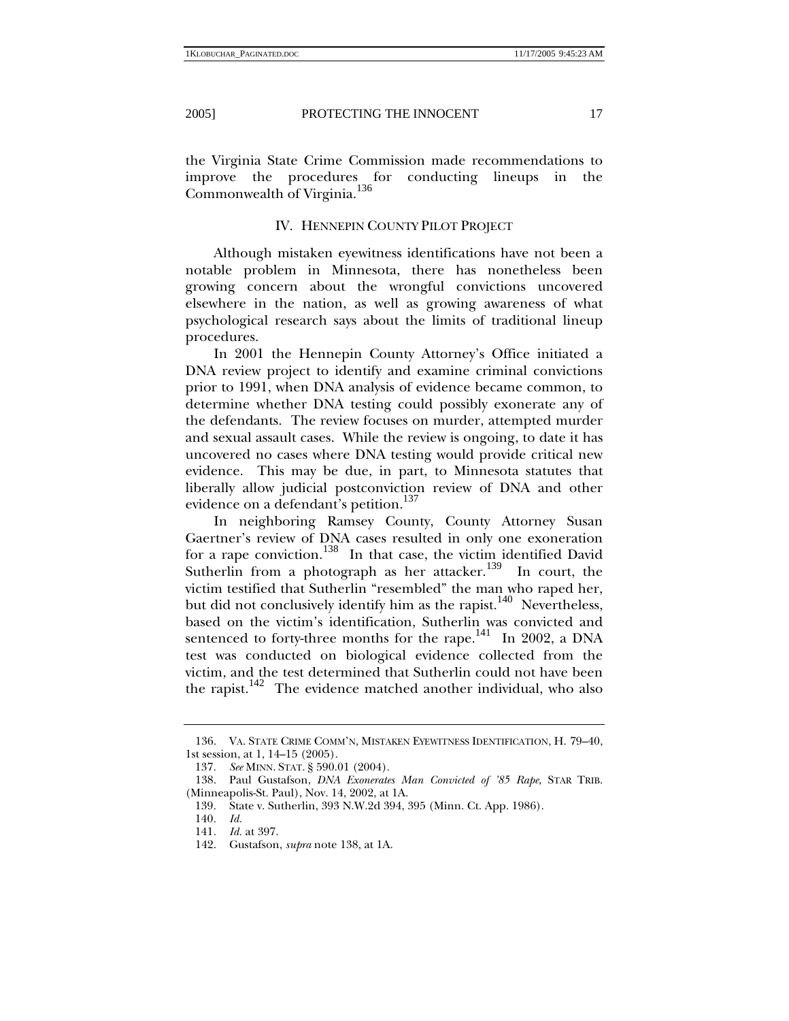the Virginia State Crime Commission made recommendations to improve the procedures for conducting lineups in the Commonwealth of Virginia.<sup>136</sup>

## IV. HENNEPIN COUNTY PILOT PROJECT

Although mistaken eyewitness identifications have not been a notable problem in Minnesota, there has nonetheless been growing concern about the wrongful convictions uncovered elsewhere in the nation, as well as growing awareness of what psychological research says about the limits of traditional lineup procedures.

In 2001 the Hennepin County Attorney's Office initiated a DNA review project to identify and examine criminal convictions prior to 1991, when DNA analysis of evidence became common, to determine whether DNA testing could possibly exonerate any of the defendants. The review focuses on murder, attempted murder and sexual assault cases. While the review is ongoing, to date it has uncovered no cases where DNA testing would provide critical new evidence. This may be due, in part, to Minnesota statutes that liberally allow judicial postconviction review of DNA and other evidence on a defendant's petition.<sup>137</sup>

In neighboring Ramsey County, County Attorney Susan Gaertner's review of DNA cases resulted in only one exoneration for a rape conviction.<sup>138</sup> In that case, the victim identified David Sutherlin from a photograph as her attacker.<sup>139</sup> In court, the victim testified that Sutherlin "resembled" the man who raped her, but did not conclusively identify him as the rapist.<sup>140</sup> Nevertheless, based on the victim's identification, Sutherlin was convicted and sentenced to forty-three months for the rape.<sup>141</sup> In 2002, a DNA test was conducted on biological evidence collected from the victim, and the test determined that Sutherlin could not have been the rapist.<sup>142</sup> The evidence matched another individual, who also

 <sup>136.</sup> VA. STATE CRIME COMM'N, MISTAKEN EYEWITNESS IDENTIFICATION, H. 79–40, 1st session, at 1, 14–15 (2005).

<sup>137</sup>*. See* MINN. STAT. § 590.01 (2004).

 <sup>138.</sup> Paul Gustafson, *DNA Exonerates Man Convicted of '85 Rape*, STAR TRIB. (Minneapolis-St. Paul), Nov. 14, 2002, at 1A.

<sup>139</sup>*.* State v. Sutherlin, 393 N.W.2d 394, 395 (Minn. Ct. App. 1986).

<sup>140</sup>*. Id.*

<sup>141</sup>*. Id.* at 397.

 <sup>142.</sup> Gustafson, *supra* note 138, at 1A.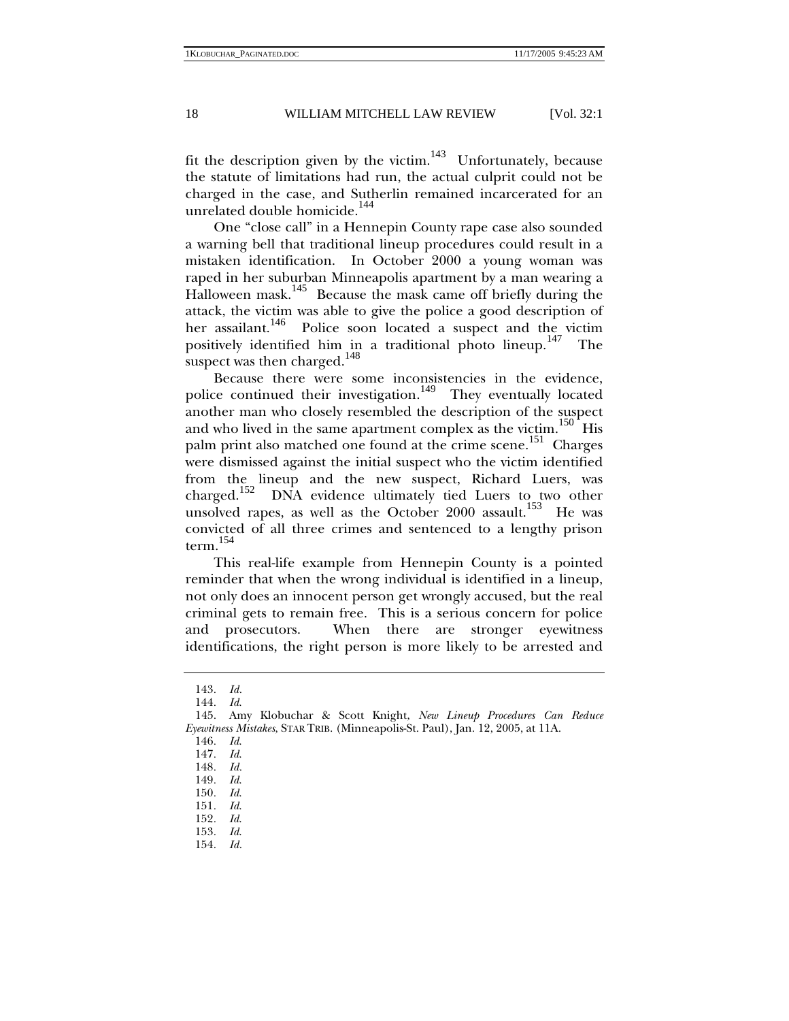fit the description given by the victim.<sup>143</sup> Unfortunately, because the statute of limitations had run, the actual culprit could not be charged in the case, and Sutherlin remained incarcerated for an unrelated double homicide.<sup>144</sup>

One "close call" in a Hennepin County rape case also sounded a warning bell that traditional lineup procedures could result in a mistaken identification. In October 2000 a young woman was raped in her suburban Minneapolis apartment by a man wearing a Halloween mask.<sup>145</sup> Because the mask came off briefly during the attack, the victim was able to give the police a good description of her assailant.<sup>146</sup> Police soon located a suspect and the victim positively identified him in a traditional photo lineup.<sup>147</sup> The suspect was then charged.  $^{148}$ 

Because there were some inconsistencies in the evidence, police continued their investigation.<sup>149</sup> They eventually located another man who closely resembled the description of the suspect and who lived in the same apartment complex as the victim.<sup>150</sup> His palm print also matched one found at the crime scene.<sup>151</sup> Charges were dismissed against the initial suspect who the victim identified from the lineup and the new suspect, Richard Luers, was charged.<sup>152</sup> DNA evidence ultimately tied Luers to two other unsolved rapes, as well as the October 2000 assault.<sup>153</sup> He was convicted of all three crimes and sentenced to a lengthy prison term. $^{154}$ 

This real-life example from Hennepin County is a pointed reminder that when the wrong individual is identified in a lineup, not only does an innocent person get wrongly accused, but the real criminal gets to remain free. This is a serious concern for police and prosecutors. When there are stronger eyewitness identifications, the right person is more likely to be arrested and

<sup>143</sup>*. Id.*

<sup>144</sup>*. Id*.

 <sup>145.</sup> Amy Klobuchar & Scott Knight, *New Lineup Procedures Can Reduce Eyewitness Mistakes*, STAR TRIB. (Minneapolis-St. Paul), Jan. 12, 2005, at 11A.

<sup>146</sup>*. Id*.

<sup>147</sup>*. Id*.

<sup>148</sup>*. Id.*

<sup>149</sup>*. Id*.

<sup>150</sup>*. Id*.

<sup>151</sup>*. Id*.

<sup>152</sup>*. Id*.

<sup>153</sup>*. Id*.

<sup>154</sup>*. Id.*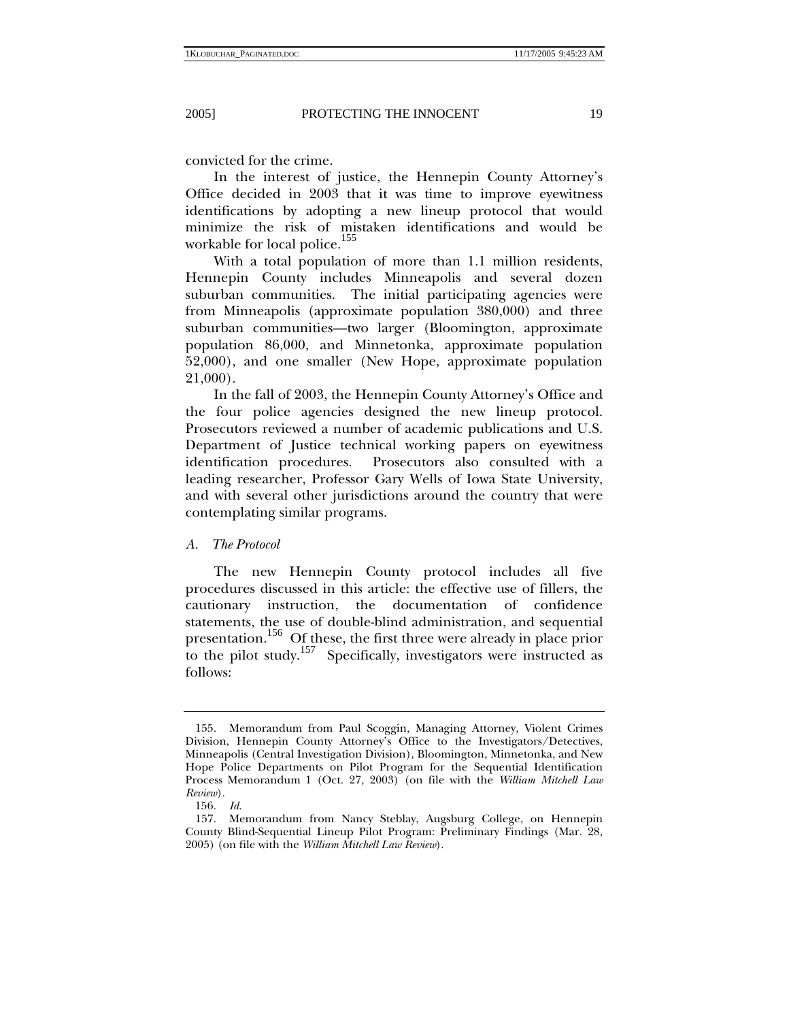convicted for the crime.

In the interest of justice, the Hennepin County Attorney's Office decided in 2003 that it was time to improve eyewitness identifications by adopting a new lineup protocol that would minimize the risk of mistaken identifications and would be workable for local police.<sup>155</sup>

With a total population of more than 1.1 million residents, Hennepin County includes Minneapolis and several dozen suburban communities. The initial participating agencies were from Minneapolis (approximate population 380,000) and three suburban communities—two larger (Bloomington, approximate population 86,000, and Minnetonka, approximate population 52,000), and one smaller (New Hope, approximate population 21,000).

In the fall of 2003, the Hennepin County Attorney's Office and the four police agencies designed the new lineup protocol. Prosecutors reviewed a number of academic publications and U.S. Department of Justice technical working papers on eyewitness identification procedures. Prosecutors also consulted with a leading researcher, Professor Gary Wells of Iowa State University, and with several other jurisdictions around the country that were contemplating similar programs.

*A. The Protocol* 

The new Hennepin County protocol includes all five procedures discussed in this article: the effective use of fillers, the cautionary instruction, the documentation of confidence statements, the use of double-blind administration, and sequential presentation.<sup>156</sup> Of these, the first three were already in place prior to the pilot study.<sup>157</sup> Specifically, investigators were instructed as follows:

 <sup>155.</sup> Memorandum from Paul Scoggin, Managing Attorney, Violent Crimes Division, Hennepin County Attorney's Office to the Investigators/Detectives, Minneapolis (Central Investigation Division), Bloomington, Minnetonka, and New Hope Police Departments on Pilot Program for the Sequential Identification Process Memorandum 1 (Oct. 27, 2003) (on file with the *William Mitchell Law Review*).

<sup>156</sup>*. Id*.

 <sup>157.</sup> Memorandum from Nancy Steblay, Augsburg College, on Hennepin County Blind-Sequential Lineup Pilot Program: Preliminary Findings (Mar. 28, 2005) (on file with the *William Mitchell Law Review*).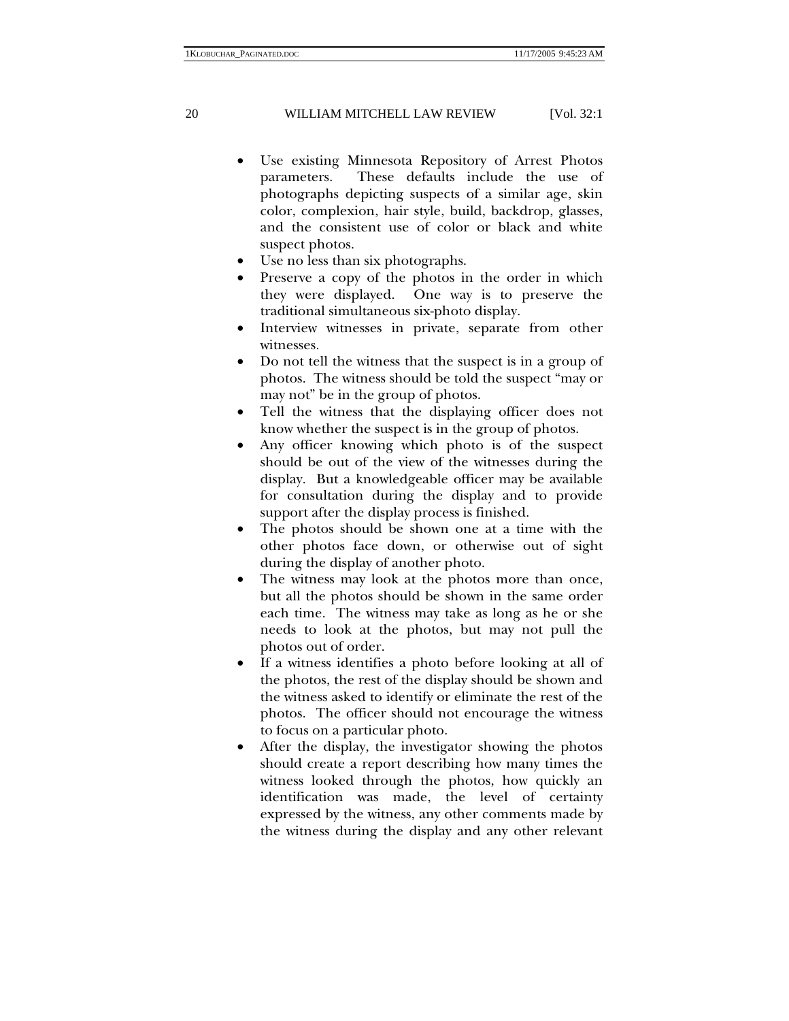- Use existing Minnesota Repository of Arrest Photos parameters. These defaults include the use of photographs depicting suspects of a similar age, skin color, complexion, hair style, build, backdrop, glasses, and the consistent use of color or black and white suspect photos.
- Use no less than six photographs.
- Preserve a copy of the photos in the order in which they were displayed. One way is to preserve the traditional simultaneous six-photo display.
- Interview witnesses in private, separate from other witnesses.
- Do not tell the witness that the suspect is in a group of photos. The witness should be told the suspect "may or may not" be in the group of photos.
- Tell the witness that the displaying officer does not know whether the suspect is in the group of photos.
- Any officer knowing which photo is of the suspect should be out of the view of the witnesses during the display. But a knowledgeable officer may be available for consultation during the display and to provide support after the display process is finished.
- The photos should be shown one at a time with the other photos face down, or otherwise out of sight during the display of another photo.
- The witness may look at the photos more than once, but all the photos should be shown in the same order each time. The witness may take as long as he or she needs to look at the photos, but may not pull the photos out of order.
- If a witness identifies a photo before looking at all of the photos, the rest of the display should be shown and the witness asked to identify or eliminate the rest of the photos. The officer should not encourage the witness to focus on a particular photo.
- After the display, the investigator showing the photos should create a report describing how many times the witness looked through the photos, how quickly an identification was made, the level of certainty expressed by the witness, any other comments made by the witness during the display and any other relevant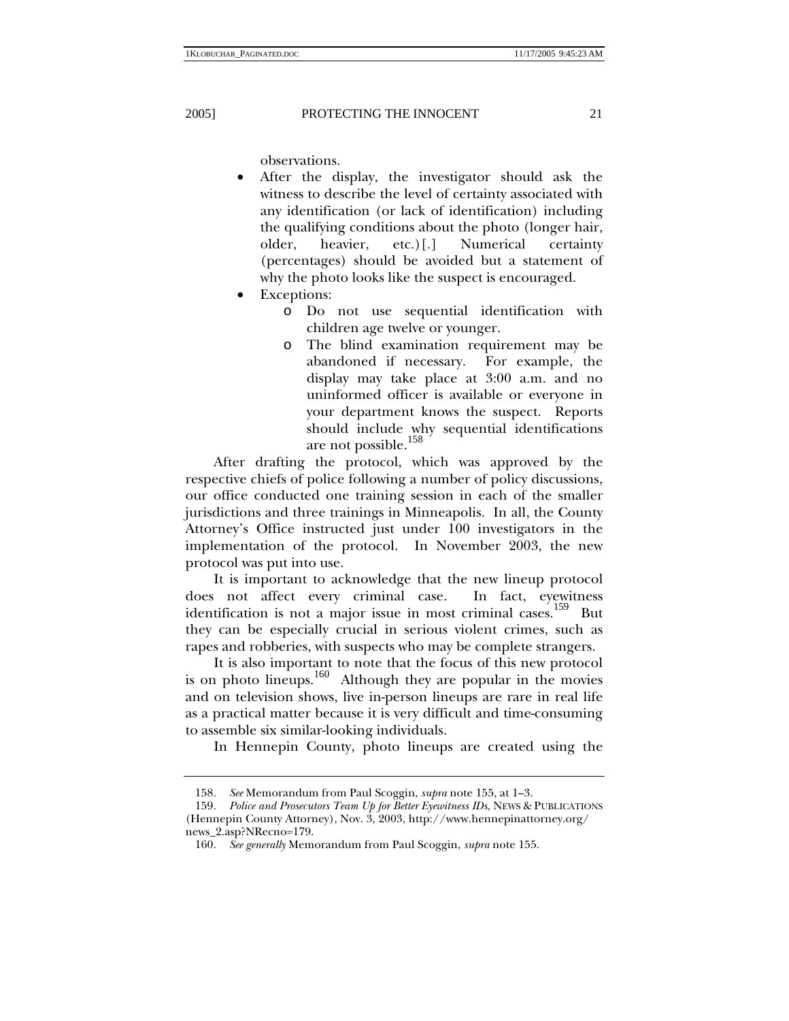observations.

- After the display, the investigator should ask the witness to describe the level of certainty associated with any identification (or lack of identification) including the qualifying conditions about the photo (longer hair, older, heavier, etc.)[.] Numerical certainty (percentages) should be avoided but a statement of why the photo looks like the suspect is encouraged.
- Exceptions:
	- o Do not use sequential identification with children age twelve or younger.
	- o The blind examination requirement may be abandoned if necessary. For example, the display may take place at 3:00 a.m. and no uninformed officer is available or everyone in your department knows the suspect. Reports should include why sequential identifications are not possible.<sup>158</sup>

After drafting the protocol, which was approved by the respective chiefs of police following a number of policy discussions, our office conducted one training session in each of the smaller jurisdictions and three trainings in Minneapolis. In all, the County Attorney's Office instructed just under 100 investigators in the implementation of the protocol. In November 2003, the new protocol was put into use.

It is important to acknowledge that the new lineup protocol does not affect every criminal case. In fact, eyewitness identification is not a major issue in most criminal cases.159 But they can be especially crucial in serious violent crimes, such as rapes and robberies, with suspects who may be complete strangers.

It is also important to note that the focus of this new protocol is on photo lineups. $160$  Although they are popular in the movies and on television shows, live in-person lineups are rare in real life as a practical matter because it is very difficult and time-consuming to assemble six similar-looking individuals.

In Hennepin County, photo lineups are created using the

<sup>158</sup>*. See* Memorandum from Paul Scoggin, *supra* note 155, at 1–3.

<sup>159</sup>*. Police and Prosecutors Team Up for Better Eyewitness IDs*, NEWS & PUBLICATIONS (Hennepin County Attorney), Nov. 3, 2003, http://www.hennepinattorney.org/ news\_2.asp?NRecno=179.

<sup>160</sup>*. See generally* Memorandum from Paul Scoggin, *supra* note 155.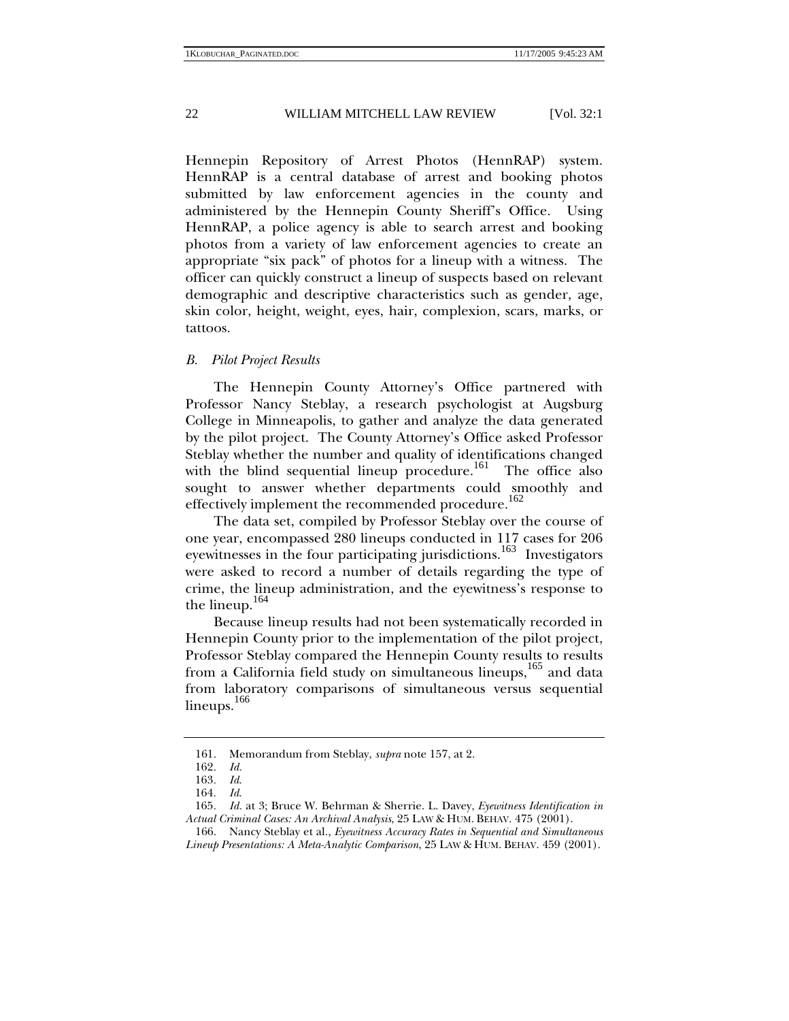Hennepin Repository of Arrest Photos (HennRAP) system. HennRAP is a central database of arrest and booking photos submitted by law enforcement agencies in the county and administered by the Hennepin County Sheriff's Office. Using HennRAP, a police agency is able to search arrest and booking photos from a variety of law enforcement agencies to create an appropriate "six pack" of photos for a lineup with a witness. The officer can quickly construct a lineup of suspects based on relevant demographic and descriptive characteristics such as gender, age, skin color, height, weight, eyes, hair, complexion, scars, marks, or tattoos.

## *B. Pilot Project Results*

The Hennepin County Attorney's Office partnered with Professor Nancy Steblay, a research psychologist at Augsburg College in Minneapolis, to gather and analyze the data generated by the pilot project. The County Attorney's Office asked Professor Steblay whether the number and quality of identifications changed with the blind sequential lineup procedure.<sup>161</sup> The office also sought to answer whether departments could smoothly and effectively implement the recommended procedure.<sup>162</sup>

The data set, compiled by Professor Steblay over the course of one year, encompassed 280 lineups conducted in 117 cases for 206 eyewitnesses in the four participating jurisdictions.<sup>163</sup> Investigators were asked to record a number of details regarding the type of crime, the lineup administration, and the eyewitness's response to the lineup. $164$ 

Because lineup results had not been systematically recorded in Hennepin County prior to the implementation of the pilot project, Professor Steblay compared the Hennepin County results to results from a California field study on simultaneous lineups,<sup>165</sup> and data from laboratory comparisons of simultaneous versus sequential lineups.<sup>166</sup>

 <sup>161.</sup> Memorandum from Steblay, *supra* note 157, at 2.

<sup>162</sup>*. Id.*

<sup>163</sup>*. Id*.

<sup>164</sup>*. Id*.

<sup>165</sup>*. Id.* at 3; Bruce W. Behrman & Sherrie. L. Davey, *Eyewitness Identification in Actual Criminal Cases: An Archival Analysis*, 25 LAW & HUM. BEHAV. 475 (2001).

 <sup>166.</sup> Nancy Steblay et al., *Eyewitness Accuracy Rates in Sequential and Simultaneous Lineup Presentations: A Meta-Analytic Comparison*, 25 LAW & HUM. BEHAV. 459 (2001).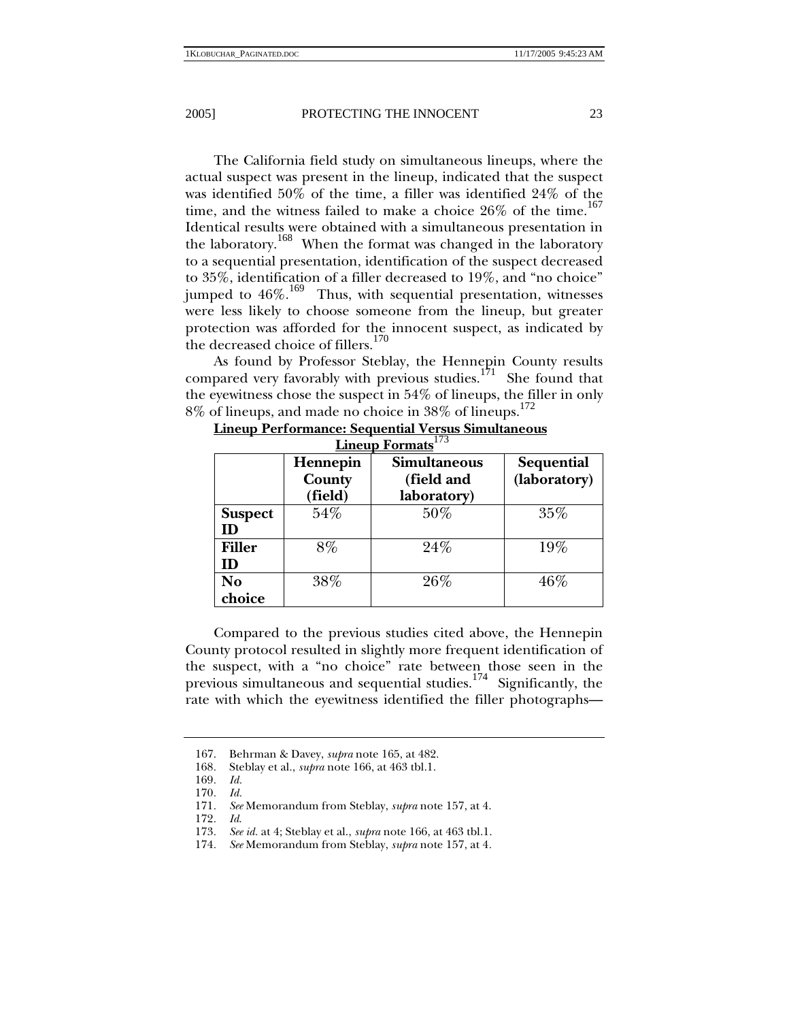The California field study on simultaneous lineups, where the actual suspect was present in the lineup, indicated that the suspect was identified 50% of the time, a filler was identified 24% of the time, and the witness failed to make a choice  $26\%$  of the time.<sup>167</sup> Identical results were obtained with a simultaneous presentation in the laboratory.<sup>168</sup> When the format was changed in the laboratory to a sequential presentation, identification of the suspect decreased to 35%, identification of a filler decreased to 19%, and "no choice" jumped to  $46\%$ .<sup>169</sup> Thus, with sequential presentation, witnesses were less likely to choose someone from the lineup, but greater protection was afforded for the innocent suspect, as indicated by the decreased choice of fillers.<sup>170</sup>

As found by Professor Steblay, the Hennepin County results compared very favorably with previous studies.<sup>171</sup> She found that the eyewitness chose the suspect in 54% of lineups, the filler in only 8% of lineups, and made no choice in 38% of lineups.<sup>172</sup>

|                      | Hennepin<br>County<br>(field) | <b>Simultaneous</b><br>(field and<br>laboratory) | Sequential<br>(laboratory) |
|----------------------|-------------------------------|--------------------------------------------------|----------------------------|
| <b>Suspect</b><br>ID | 54%                           | $50\%$                                           | 35%                        |
| <b>Filler</b><br>ID  | 8%                            | 24%                                              | $19\%$                     |
| No<br>choice         | 38%                           | 26%                                              | 46%                        |

**Lineup Performance: Sequential Versus Simultaneous Lineup Formats**<sup>173</sup>

Compared to the previous studies cited above, the Hennepin County protocol resulted in slightly more frequent identification of the suspect, with a "no choice" rate between those seen in the previous simultaneous and sequential studies.<sup>174</sup> Significantly, the rate with which the eyewitness identified the filler photographs—

 <sup>167.</sup> Behrman & Davey, *supra* note 165, at 482.

<sup>168</sup>*.* Steblay et al., *supra* note 166, at 463 tbl.1.

<sup>169</sup>*. Id.*

<sup>170</sup>*. Id.*

<sup>171</sup>*. See* Memorandum from Steblay, *supra* note 157, at 4.

<sup>172</sup>*. Id*.

<sup>173</sup>*. See id.* at 4; Steblay et al., *supra* note 166, at 463 tbl.1.

<sup>174</sup>*. See* Memorandum from Steblay, *supra* note 157, at 4*.*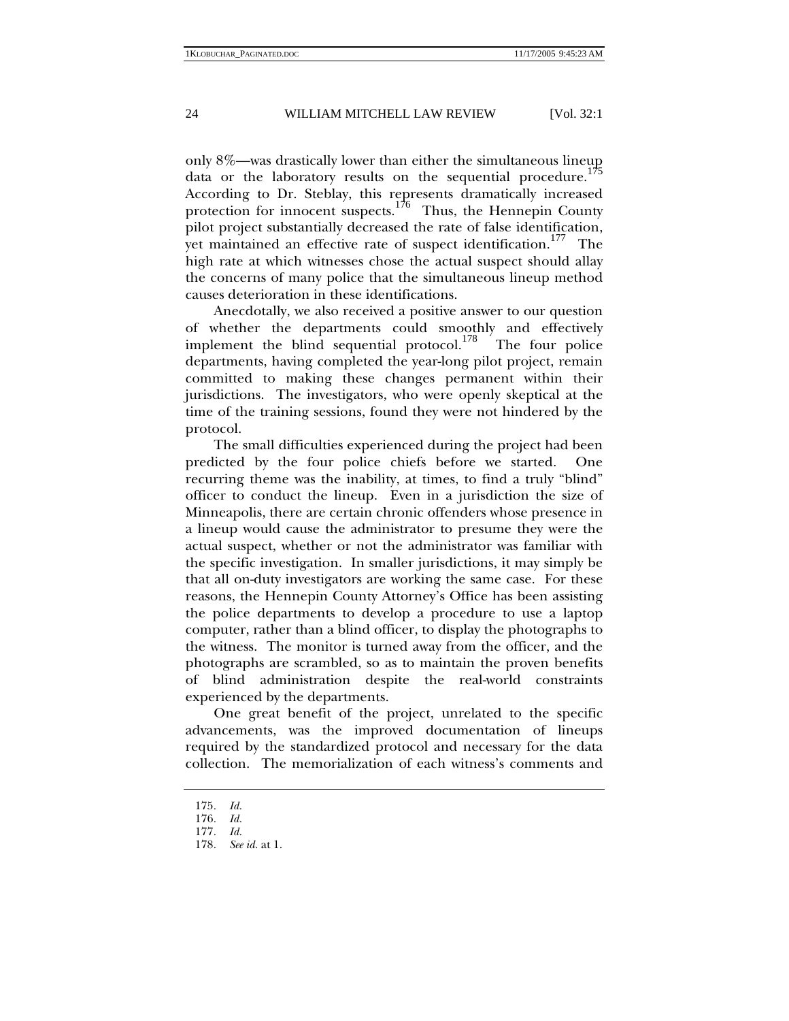only 8%—was drastically lower than either the simultaneous lineup data or the laboratory results on the sequential procedure.<sup>175</sup> According to Dr. Steblay, this represents dramatically increased protection for innocent suspects.<sup>176</sup> Thus, the Hennepin County pilot project substantially decreased the rate of false identification, yet maintained an effective rate of suspect identification.<sup>177</sup> The high rate at which witnesses chose the actual suspect should allay the concerns of many police that the simultaneous lineup method causes deterioration in these identifications.

Anecdotally, we also received a positive answer to our question of whether the departments could smoothly and effectively implement the blind sequential protocol.<sup>178</sup> The four police departments, having completed the year-long pilot project, remain committed to making these changes permanent within their jurisdictions. The investigators, who were openly skeptical at the time of the training sessions, found they were not hindered by the protocol.

The small difficulties experienced during the project had been predicted by the four police chiefs before we started. One recurring theme was the inability, at times, to find a truly "blind" officer to conduct the lineup. Even in a jurisdiction the size of Minneapolis, there are certain chronic offenders whose presence in a lineup would cause the administrator to presume they were the actual suspect, whether or not the administrator was familiar with the specific investigation. In smaller jurisdictions, it may simply be that all on-duty investigators are working the same case. For these reasons, the Hennepin County Attorney's Office has been assisting the police departments to develop a procedure to use a laptop computer, rather than a blind officer, to display the photographs to the witness. The monitor is turned away from the officer, and the photographs are scrambled, so as to maintain the proven benefits of blind administration despite the real-world constraints experienced by the departments.

One great benefit of the project, unrelated to the specific advancements, was the improved documentation of lineups required by the standardized protocol and necessary for the data collection. The memorialization of each witness's comments and

<sup>175</sup>*. Id.*

<sup>176</sup>*. Id.*

<sup>177</sup>*. Id.*

<sup>178</sup>*. See id.* at 1.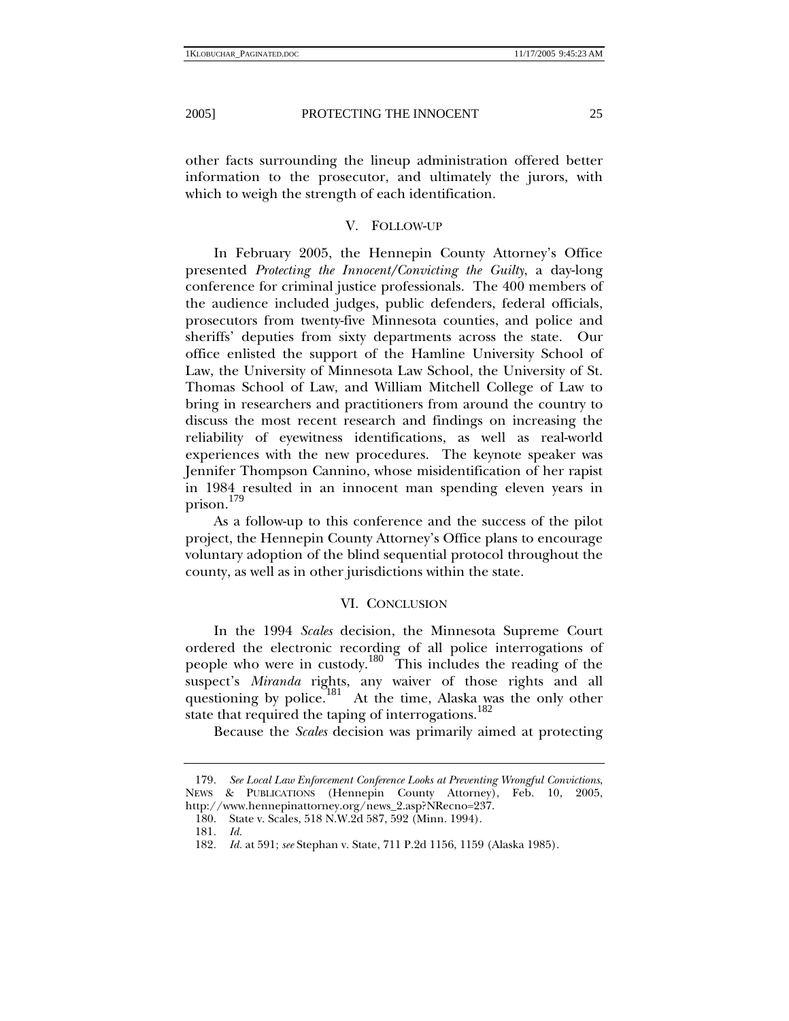other facts surrounding the lineup administration offered better information to the prosecutor, and ultimately the jurors, with which to weigh the strength of each identification.

## V. FOLLOW-UP

In February 2005, the Hennepin County Attorney's Office presented *Protecting the Innocent/Convicting the Guilty*, a day-long conference for criminal justice professionals. The 400 members of the audience included judges, public defenders, federal officials, prosecutors from twenty-five Minnesota counties, and police and sheriffs' deputies from sixty departments across the state. Our office enlisted the support of the Hamline University School of Law, the University of Minnesota Law School, the University of St. Thomas School of Law, and William Mitchell College of Law to bring in researchers and practitioners from around the country to discuss the most recent research and findings on increasing the reliability of eyewitness identifications, as well as real-world experiences with the new procedures. The keynote speaker was Jennifer Thompson Cannino, whose misidentification of her rapist in 1984 resulted in an innocent man spending eleven years in prison.<sup>179</sup>

As a follow-up to this conference and the success of the pilot project, the Hennepin County Attorney's Office plans to encourage voluntary adoption of the blind sequential protocol throughout the county, as well as in other jurisdictions within the state.

## VI. CONCLUSION

In the 1994 *Scales* decision, the Minnesota Supreme Court ordered the electronic recording of all police interrogations of people who were in custody.180 This includes the reading of the suspect's *Miranda* rights, any waiver of those rights and all questioning by police.<sup>181</sup> At the time, Alaska was the only other state that required the taping of interrogations.<sup>182</sup>

Because the *Scales* decision was primarily aimed at protecting

<sup>179</sup>*. See Local Law Enforcement Conference Looks at Preventing Wrongful Convictions*, NEWS & PUBLICATIONS (Hennepin County Attorney), Feb. 10, 2005, http://www.hennepinattorney.org/news\_2.asp?NRecno=237.

 <sup>180.</sup> State v. Scales, 518 N.W.2d 587, 592 (Minn. 1994).

<sup>181</sup>*. Id.*

<sup>182</sup>*. Id.* at 591; *see* Stephan v. State, 711 P.2d 1156, 1159 (Alaska 1985).